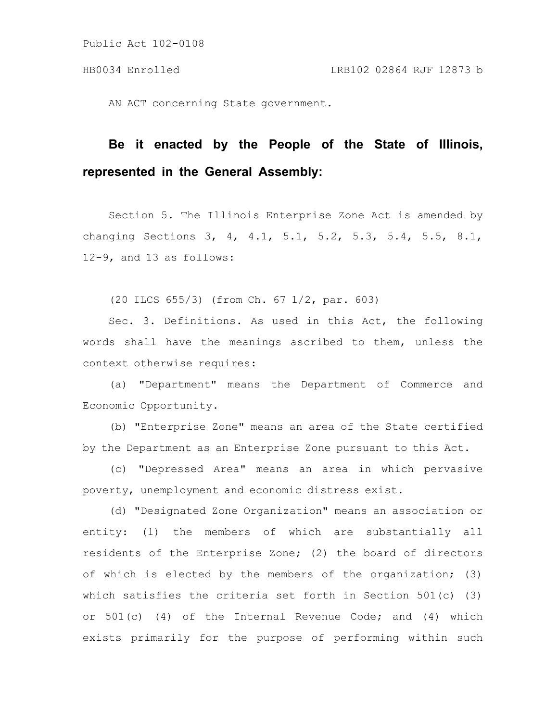AN ACT concerning State government.

# **Be it enacted by the People of the State of Illinois, represented in the General Assembly:**

Section 5. The Illinois Enterprise Zone Act is amended by changing Sections 3, 4, 4.1, 5.1, 5.2, 5.3, 5.4, 5.5, 8.1, 12-9, and 13 as follows:

(20 ILCS 655/3) (from Ch. 67 1/2, par. 603)

Sec. 3. Definitions. As used in this Act, the following words shall have the meanings ascribed to them, unless the context otherwise requires:

(a) "Department" means the Department of Commerce and Economic Opportunity.

(b) "Enterprise Zone" means an area of the State certified by the Department as an Enterprise Zone pursuant to this Act.

(c) "Depressed Area" means an area in which pervasive poverty, unemployment and economic distress exist.

(d) "Designated Zone Organization" means an association or entity: (1) the members of which are substantially all residents of the Enterprise Zone; (2) the board of directors of which is elected by the members of the organization; (3) which satisfies the criteria set forth in Section 501(c) (3) or  $501(c)$  (4) of the Internal Revenue Code; and (4) which exists primarily for the purpose of performing within such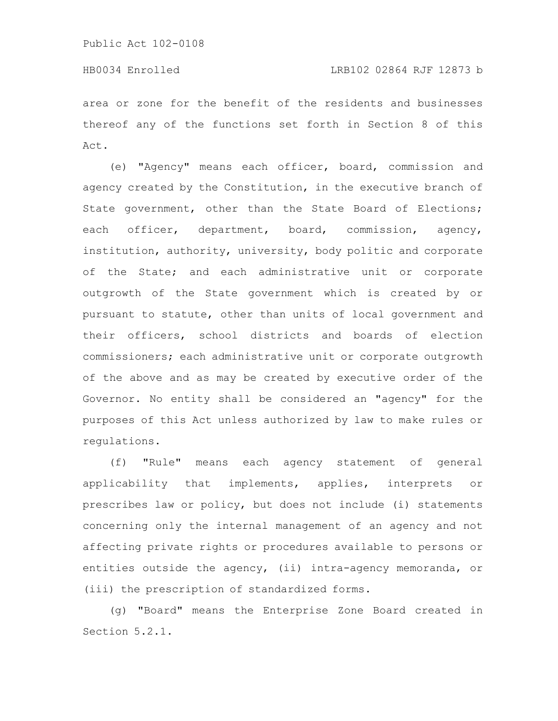#### HB0034 Enrolled LRB102 02864 RJF 12873 b

area or zone for the benefit of the residents and businesses thereof any of the functions set forth in Section 8 of this Act.

(e) "Agency" means each officer, board, commission and agency created by the Constitution, in the executive branch of State government, other than the State Board of Elections; each officer, department, board, commission, agency, institution, authority, university, body politic and corporate of the State; and each administrative unit or corporate outgrowth of the State government which is created by or pursuant to statute, other than units of local government and their officers, school districts and boards of election commissioners; each administrative unit or corporate outgrowth of the above and as may be created by executive order of the Governor. No entity shall be considered an "agency" for the purposes of this Act unless authorized by law to make rules or regulations.

(f) "Rule" means each agency statement of general applicability that implements, applies, interprets or prescribes law or policy, but does not include (i) statements concerning only the internal management of an agency and not affecting private rights or procedures available to persons or entities outside the agency, (ii) intra-agency memoranda, or (iii) the prescription of standardized forms.

(g) "Board" means the Enterprise Zone Board created in Section 5.2.1.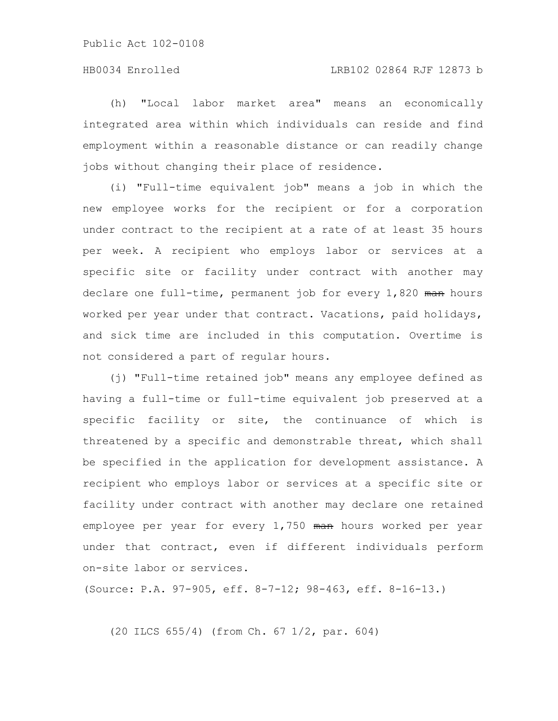# HB0034 Enrolled LRB102 02864 RJF 12873 b

(h) "Local labor market area" means an economically integrated area within which individuals can reside and find employment within a reasonable distance or can readily change jobs without changing their place of residence.

(i) "Full-time equivalent job" means a job in which the new employee works for the recipient or for a corporation under contract to the recipient at a rate of at least 35 hours per week. A recipient who employs labor or services at a specific site or facility under contract with another may declare one full-time, permanent job for every 1,820 man hours worked per year under that contract. Vacations, paid holidays, and sick time are included in this computation. Overtime is not considered a part of regular hours.

(j) "Full-time retained job" means any employee defined as having a full-time or full-time equivalent job preserved at a specific facility or site, the continuance of which is threatened by a specific and demonstrable threat, which shall be specified in the application for development assistance. A recipient who employs labor or services at a specific site or facility under contract with another may declare one retained employee per year for every 1,750 man hours worked per year under that contract, even if different individuals perform on-site labor or services.

(Source: P.A. 97-905, eff. 8-7-12; 98-463, eff. 8-16-13.)

(20 ILCS 655/4) (from Ch. 67 1/2, par. 604)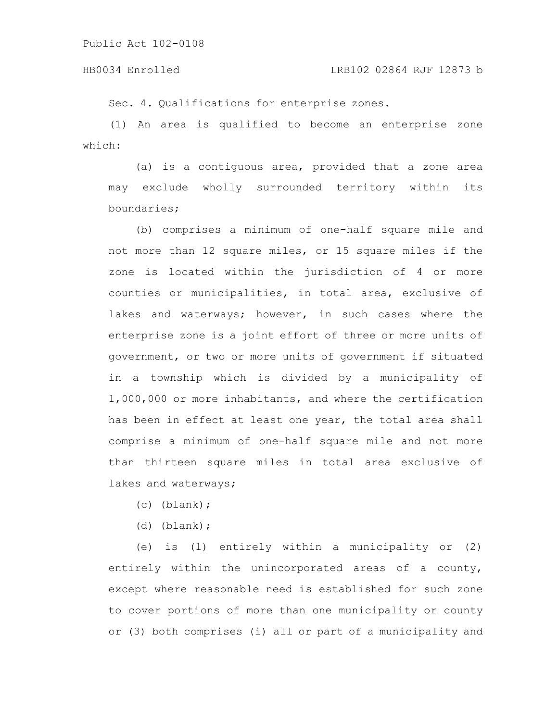#### HB0034 Enrolled LRB102 02864 RJF 12873 b

Sec. 4. Qualifications for enterprise zones.

(1) An area is qualified to become an enterprise zone which:

(a) is a contiguous area, provided that a zone area may exclude wholly surrounded territory within its boundaries;

(b) comprises a minimum of one-half square mile and not more than 12 square miles, or 15 square miles if the zone is located within the jurisdiction of 4 or more counties or municipalities, in total area, exclusive of lakes and waterways; however, in such cases where the enterprise zone is a joint effort of three or more units of government, or two or more units of government if situated in a township which is divided by a municipality of 1,000,000 or more inhabitants, and where the certification has been in effect at least one year, the total area shall comprise a minimum of one-half square mile and not more than thirteen square miles in total area exclusive of lakes and waterways;

- (c) (blank);
- (d) (blank);

(e) is (1) entirely within a municipality or (2) entirely within the unincorporated areas of a county, except where reasonable need is established for such zone to cover portions of more than one municipality or county or (3) both comprises (i) all or part of a municipality and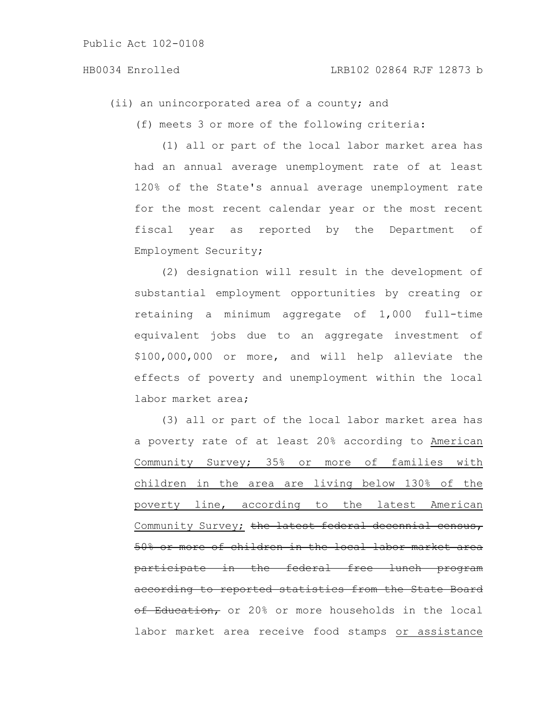#### HB0034 Enrolled LRB102 02864 RJF 12873 b

(ii) an unincorporated area of a county; and

(f) meets 3 or more of the following criteria:

(1) all or part of the local labor market area has had an annual average unemployment rate of at least 120% of the State's annual average unemployment rate for the most recent calendar year or the most recent fiscal year as reported by the Department of Employment Security;

(2) designation will result in the development of substantial employment opportunities by creating or retaining a minimum aggregate of 1,000 full-time equivalent jobs due to an aggregate investment of \$100,000,000 or more, and will help alleviate the effects of poverty and unemployment within the local labor market area;

(3) all or part of the local labor market area has a poverty rate of at least 20% according to American Community Survey; 35% or more of families with children in the area are living below 130% of the poverty line, according to the latest American Community Survey; the latest federal decennial census, 50% or more of children in the local labor market area participate in the federal free lunch program according to reported statistics from the State Board of Education, or 20% or more households in the local labor market area receive food stamps or assistance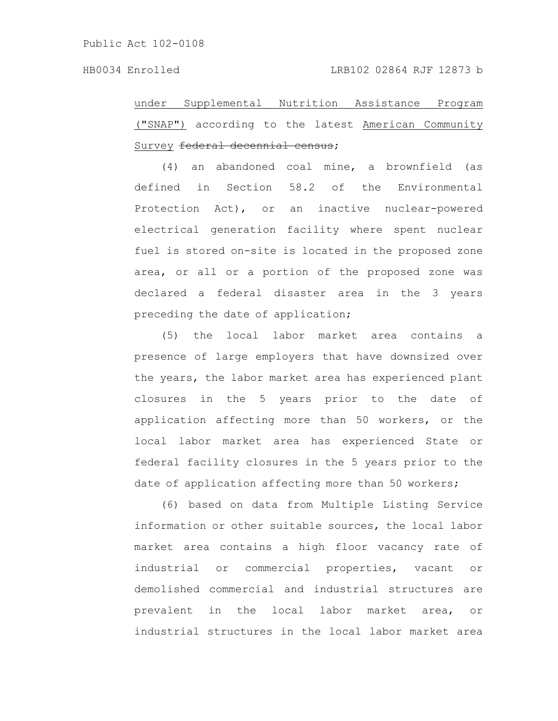under Supplemental Nutrition Assistance Program ("SNAP") according to the latest American Community Survey federal decennial census;

(4) an abandoned coal mine, a brownfield (as defined in Section 58.2 of the Environmental Protection Act), or an inactive nuclear-powered electrical generation facility where spent nuclear fuel is stored on-site is located in the proposed zone area, or all or a portion of the proposed zone was declared a federal disaster area in the 3 years preceding the date of application;

(5) the local labor market area contains a presence of large employers that have downsized over the years, the labor market area has experienced plant closures in the 5 years prior to the date of application affecting more than 50 workers, or the local labor market area has experienced State or federal facility closures in the 5 years prior to the date of application affecting more than 50 workers;

(6) based on data from Multiple Listing Service information or other suitable sources, the local labor market area contains a high floor vacancy rate of industrial or commercial properties, vacant or demolished commercial and industrial structures are prevalent in the local labor market area, or industrial structures in the local labor market area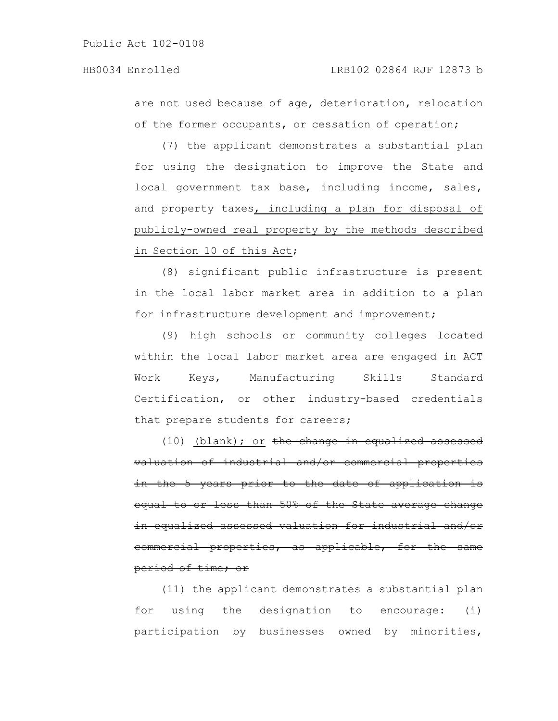are not used because of age, deterioration, relocation of the former occupants, or cessation of operation;

(7) the applicant demonstrates a substantial plan for using the designation to improve the State and local government tax base, including income, sales, and property taxes, including a plan for disposal of publicly-owned real property by the methods described in Section 10 of this Act;

(8) significant public infrastructure is present in the local labor market area in addition to a plan for infrastructure development and improvement;

(9) high schools or community colleges located within the local labor market area are engaged in ACT Work Keys, Manufacturing Skills Standard Certification, or other industry-based credentials that prepare students for careers;

(10) (blank); or the change in equalized assessed valuation of industrial and/or commercial properties in the 5 years prior to the date of application is equal to or less than 50% of the State average change in equalized assessed valuation for industrial commercial properties, as applicable, for the same period of time; or

(11) the applicant demonstrates a substantial plan for using the designation to encourage: (i) participation by businesses owned by minorities,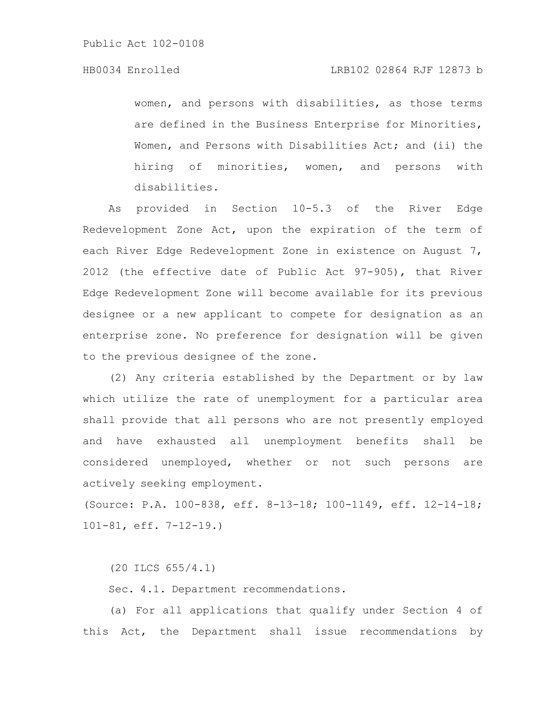women, and persons with disabilities, as those terms are defined in the Business Enterprise for Minorities, Women, and Persons with Disabilities Act; and (ii) the hiring of minorities, women, and persons with disabilities.

As provided in Section 10-5.3 of the River Edge Redevelopment Zone Act, upon the expiration of the term of each River Edge Redevelopment Zone in existence on August 7, 2012 (the effective date of Public Act 97-905), that River Edge Redevelopment Zone will become available for its previous designee or a new applicant to compete for designation as an enterprise zone. No preference for designation will be given to the previous designee of the zone.

(2) Any criteria established by the Department or by law which utilize the rate of unemployment for a particular area shall provide that all persons who are not presently employed and have exhausted all unemployment benefits shall be considered unemployed, whether or not such persons are actively seeking employment.

(Source: P.A. 100-838, eff. 8-13-18; 100-1149, eff. 12-14-18; 101-81, eff. 7-12-19.)

(20 ILCS 655/4.1)

Sec. 4.1. Department recommendations.

(a) For all applications that qualify under Section 4 of this Act, the Department shall issue recommendations by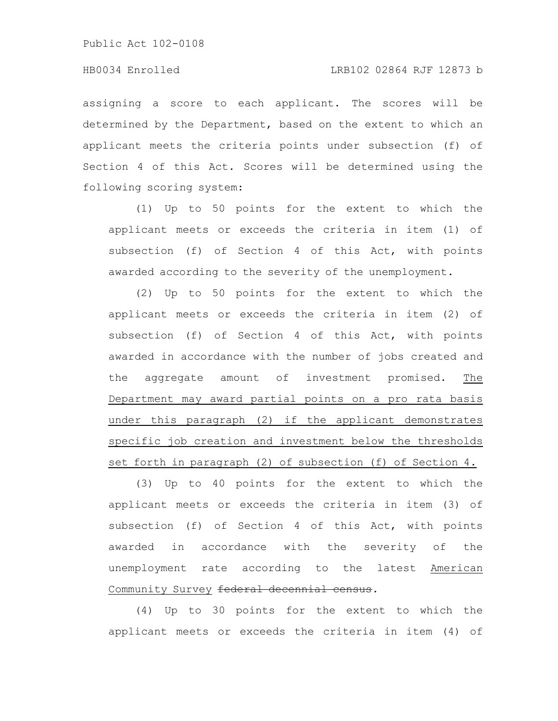assigning a score to each applicant. The scores will be determined by the Department, based on the extent to which an applicant meets the criteria points under subsection (f) of Section 4 of this Act. Scores will be determined using the following scoring system:

(1) Up to 50 points for the extent to which the applicant meets or exceeds the criteria in item (1) of subsection (f) of Section 4 of this Act, with points awarded according to the severity of the unemployment.

(2) Up to 50 points for the extent to which the applicant meets or exceeds the criteria in item (2) of subsection (f) of Section 4 of this Act, with points awarded in accordance with the number of jobs created and the aggregate amount of investment promised. The Department may award partial points on a pro rata basis under this paragraph (2) if the applicant demonstrates specific job creation and investment below the thresholds set forth in paragraph (2) of subsection (f) of Section 4.

(3) Up to 40 points for the extent to which the applicant meets or exceeds the criteria in item (3) of subsection (f) of Section 4 of this Act, with points awarded in accordance with the severity of the unemployment rate according to the latest American Community Survey federal decennial census.

(4) Up to 30 points for the extent to which the applicant meets or exceeds the criteria in item (4) of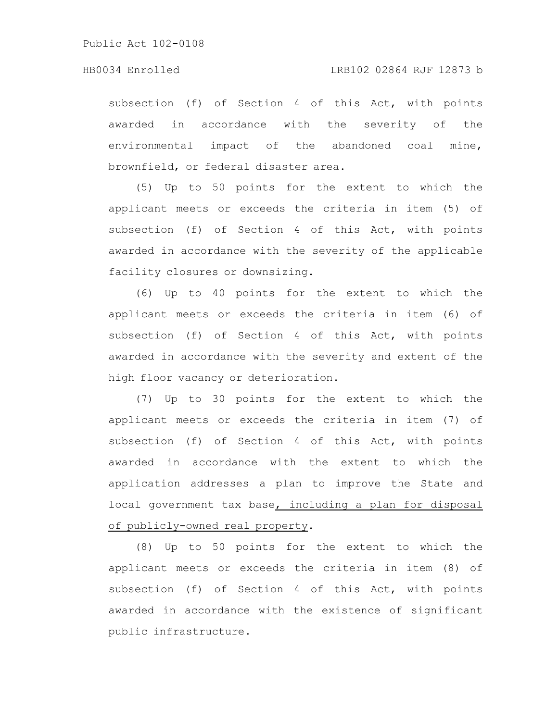subsection (f) of Section 4 of this Act, with points awarded in accordance with the severity of the environmental impact of the abandoned coal mine, brownfield, or federal disaster area.

(5) Up to 50 points for the extent to which the applicant meets or exceeds the criteria in item (5) of subsection (f) of Section 4 of this Act, with points awarded in accordance with the severity of the applicable facility closures or downsizing.

(6) Up to 40 points for the extent to which the applicant meets or exceeds the criteria in item (6) of subsection (f) of Section 4 of this Act, with points awarded in accordance with the severity and extent of the high floor vacancy or deterioration.

(7) Up to 30 points for the extent to which the applicant meets or exceeds the criteria in item (7) of subsection (f) of Section 4 of this Act, with points awarded in accordance with the extent to which the application addresses a plan to improve the State and local government tax base, including a plan for disposal of publicly-owned real property.

(8) Up to 50 points for the extent to which the applicant meets or exceeds the criteria in item (8) of subsection (f) of Section 4 of this Act, with points awarded in accordance with the existence of significant public infrastructure.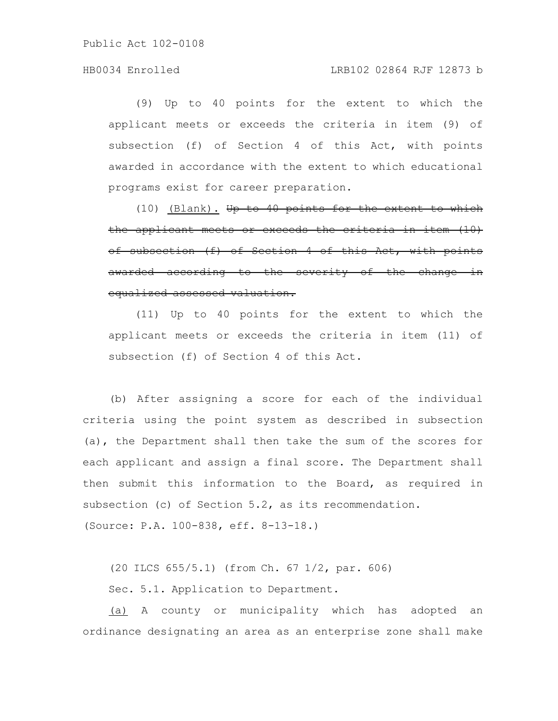# HB0034 Enrolled LRB102 02864 RJF 12873 b

(9) Up to 40 points for the extent to which the applicant meets or exceeds the criteria in item (9) of subsection (f) of Section 4 of this Act, with points awarded in accordance with the extent to which educational programs exist for career preparation.

(10) (Blank). Up to 40 points for the extent to which the applicant meets or exceeds the criteria in item (10) of subsection (f) of Section 4 of this Act, with points awarded according to the severity of the change in equalized assessed valuation.

(11) Up to 40 points for the extent to which the applicant meets or exceeds the criteria in item (11) of subsection (f) of Section 4 of this Act.

(b) After assigning a score for each of the individual criteria using the point system as described in subsection (a), the Department shall then take the sum of the scores for each applicant and assign a final score. The Department shall then submit this information to the Board, as required in subsection (c) of Section 5.2, as its recommendation. (Source: P.A. 100-838, eff. 8-13-18.)

(20 ILCS 655/5.1) (from Ch. 67 1/2, par. 606) Sec. 5.1. Application to Department.

(a) A county or municipality which has adopted an ordinance designating an area as an enterprise zone shall make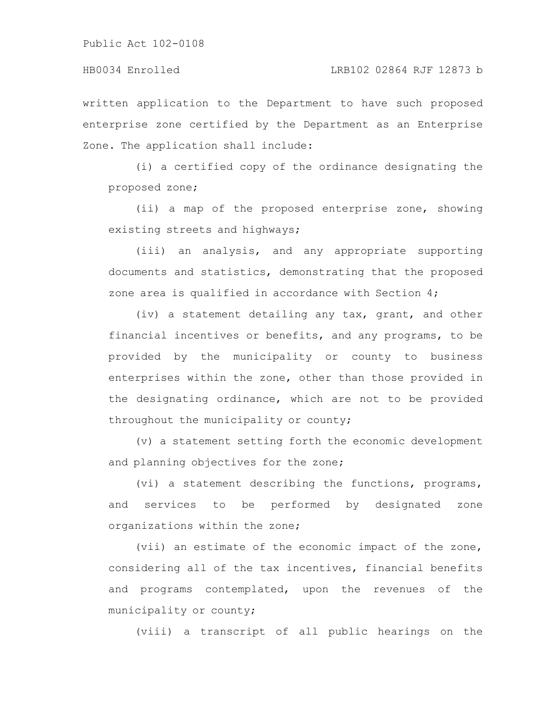written application to the Department to have such proposed enterprise zone certified by the Department as an Enterprise Zone. The application shall include:

(i) a certified copy of the ordinance designating the proposed zone;

(ii) a map of the proposed enterprise zone, showing existing streets and highways;

(iii) an analysis, and any appropriate supporting documents and statistics, demonstrating that the proposed zone area is qualified in accordance with Section 4;

(iv) a statement detailing any tax, grant, and other financial incentives or benefits, and any programs, to be provided by the municipality or county to business enterprises within the zone, other than those provided in the designating ordinance, which are not to be provided throughout the municipality or county;

(v) a statement setting forth the economic development and planning objectives for the zone;

(vi) a statement describing the functions, programs, and services to be performed by designated zone organizations within the zone;

(vii) an estimate of the economic impact of the zone, considering all of the tax incentives, financial benefits and programs contemplated, upon the revenues of the municipality or county;

(viii) a transcript of all public hearings on the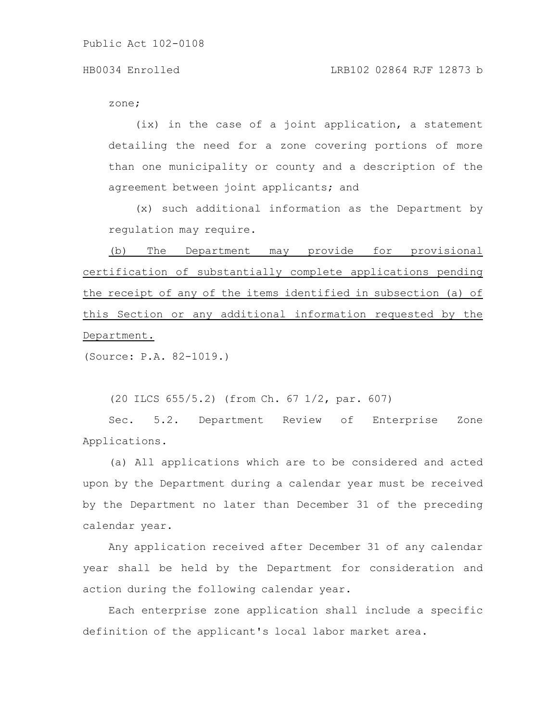zone;

(ix) in the case of a joint application, a statement detailing the need for a zone covering portions of more than one municipality or county and a description of the agreement between joint applicants; and

(x) such additional information as the Department by regulation may require.

(b) The Department may provide for provisional certification of substantially complete applications pending the receipt of any of the items identified in subsection (a) of this Section or any additional information requested by the Department.

(Source: P.A. 82-1019.)

(20 ILCS 655/5.2) (from Ch. 67 1/2, par. 607)

Sec. 5.2. Department Review of Enterprise Zone Applications.

(a) All applications which are to be considered and acted upon by the Department during a calendar year must be received by the Department no later than December 31 of the preceding calendar year.

Any application received after December 31 of any calendar year shall be held by the Department for consideration and action during the following calendar year.

Each enterprise zone application shall include a specific definition of the applicant's local labor market area.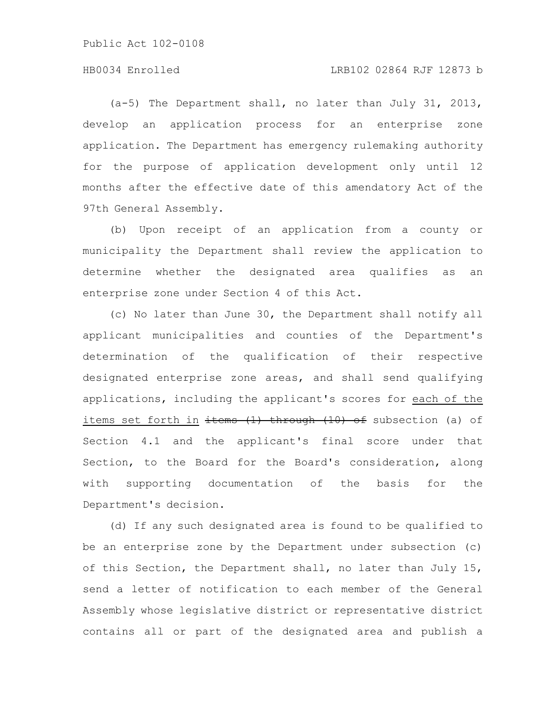# HB0034 Enrolled LRB102 02864 RJF 12873 b

(a-5) The Department shall, no later than July 31, 2013, develop an application process for an enterprise zone application. The Department has emergency rulemaking authority for the purpose of application development only until 12 months after the effective date of this amendatory Act of the 97th General Assembly.

(b) Upon receipt of an application from a county or municipality the Department shall review the application to determine whether the designated area qualifies as an enterprise zone under Section 4 of this Act.

(c) No later than June 30, the Department shall notify all applicant municipalities and counties of the Department's determination of the qualification of their respective designated enterprise zone areas, and shall send qualifying applications, including the applicant's scores for each of the items set forth in  $\frac{1}{10}$  through  $(10)$  of subsection (a) of Section 4.1 and the applicant's final score under that Section, to the Board for the Board's consideration, along with supporting documentation of the basis for the Department's decision.

(d) If any such designated area is found to be qualified to be an enterprise zone by the Department under subsection (c) of this Section, the Department shall, no later than July 15, send a letter of notification to each member of the General Assembly whose legislative district or representative district contains all or part of the designated area and publish a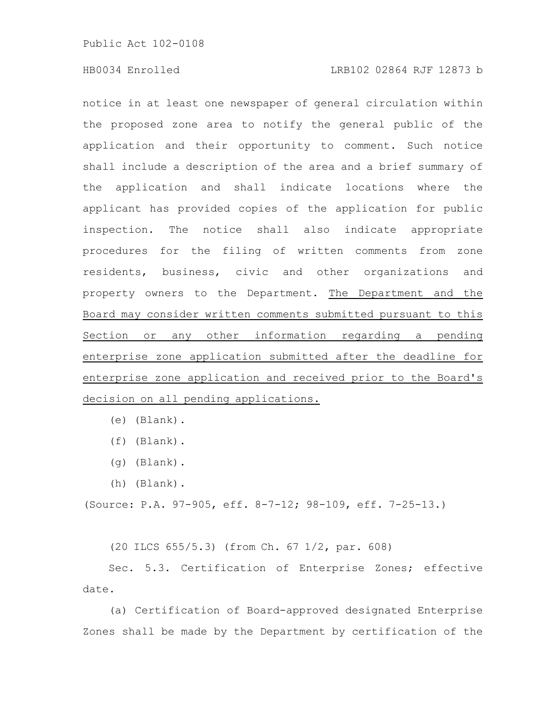# HB0034 Enrolled LRB102 02864 RJF 12873 b

notice in at least one newspaper of general circulation within the proposed zone area to notify the general public of the application and their opportunity to comment. Such notice shall include a description of the area and a brief summary of the application and shall indicate locations where the applicant has provided copies of the application for public inspection. The notice shall also indicate appropriate procedures for the filing of written comments from zone residents, business, civic and other organizations and property owners to the Department. The Department and the Board may consider written comments submitted pursuant to this Section or any other information regarding a pending enterprise zone application submitted after the deadline for enterprise zone application and received prior to the Board's decision on all pending applications.

- (f) (Blank).
- (g) (Blank).
- (h) (Blank).

(Source: P.A. 97-905, eff. 8-7-12; 98-109, eff. 7-25-13.)

(20 ILCS 655/5.3) (from Ch. 67 1/2, par. 608)

Sec. 5.3. Certification of Enterprise Zones; effective date.

(a) Certification of Board-approved designated Enterprise Zones shall be made by the Department by certification of the

<sup>(</sup>e) (Blank).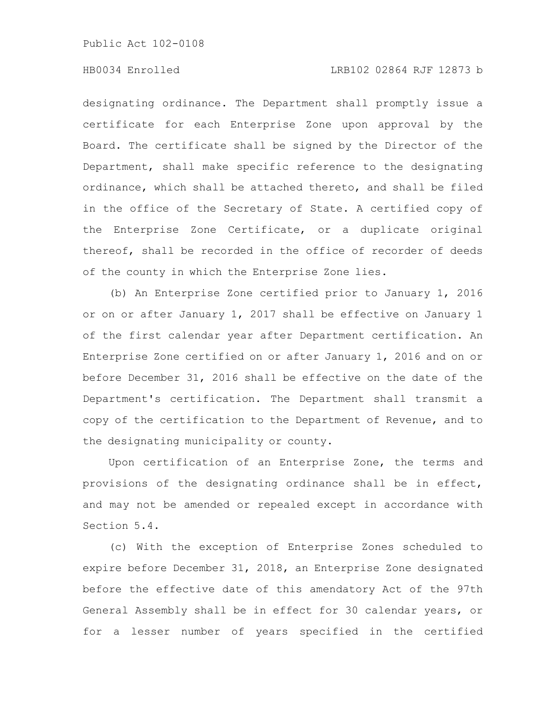# HB0034 Enrolled LRB102 02864 RJF 12873 b

designating ordinance. The Department shall promptly issue a certificate for each Enterprise Zone upon approval by the Board. The certificate shall be signed by the Director of the Department, shall make specific reference to the designating ordinance, which shall be attached thereto, and shall be filed in the office of the Secretary of State. A certified copy of the Enterprise Zone Certificate, or a duplicate original thereof, shall be recorded in the office of recorder of deeds of the county in which the Enterprise Zone lies.

(b) An Enterprise Zone certified prior to January 1, 2016 or on or after January 1, 2017 shall be effective on January 1 of the first calendar year after Department certification. An Enterprise Zone certified on or after January 1, 2016 and on or before December 31, 2016 shall be effective on the date of the Department's certification. The Department shall transmit a copy of the certification to the Department of Revenue, and to the designating municipality or county.

Upon certification of an Enterprise Zone, the terms and provisions of the designating ordinance shall be in effect, and may not be amended or repealed except in accordance with Section 5.4.

(c) With the exception of Enterprise Zones scheduled to expire before December 31, 2018, an Enterprise Zone designated before the effective date of this amendatory Act of the 97th General Assembly shall be in effect for 30 calendar years, or for a lesser number of years specified in the certified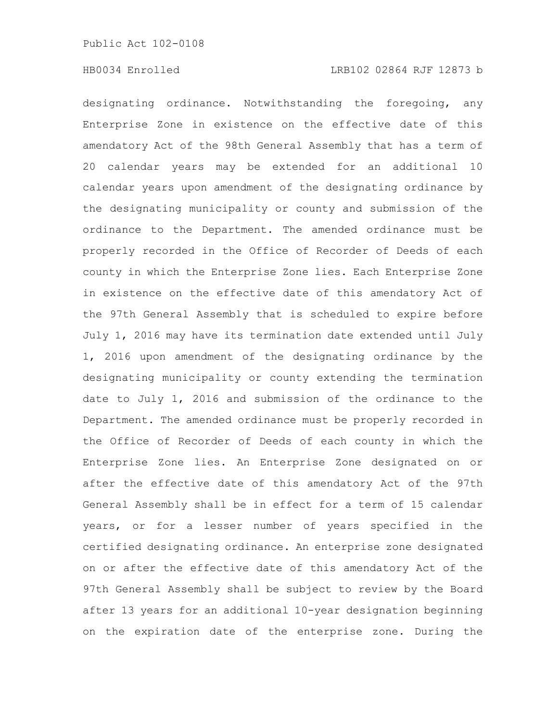designating ordinance. Notwithstanding the foregoing, any Enterprise Zone in existence on the effective date of this amendatory Act of the 98th General Assembly that has a term of 20 calendar years may be extended for an additional 10 calendar years upon amendment of the designating ordinance by the designating municipality or county and submission of the ordinance to the Department. The amended ordinance must be properly recorded in the Office of Recorder of Deeds of each county in which the Enterprise Zone lies. Each Enterprise Zone in existence on the effective date of this amendatory Act of the 97th General Assembly that is scheduled to expire before July 1, 2016 may have its termination date extended until July 1, 2016 upon amendment of the designating ordinance by the designating municipality or county extending the termination date to July 1, 2016 and submission of the ordinance to the Department. The amended ordinance must be properly recorded in the Office of Recorder of Deeds of each county in which the Enterprise Zone lies. An Enterprise Zone designated on or after the effective date of this amendatory Act of the 97th General Assembly shall be in effect for a term of 15 calendar years, or for a lesser number of years specified in the certified designating ordinance. An enterprise zone designated on or after the effective date of this amendatory Act of the 97th General Assembly shall be subject to review by the Board after 13 years for an additional 10-year designation beginning on the expiration date of the enterprise zone. During the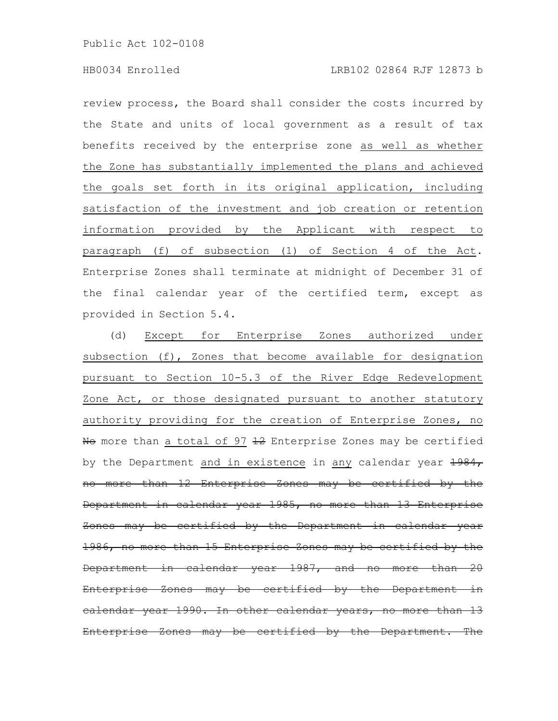review process, the Board shall consider the costs incurred by the State and units of local government as a result of tax benefits received by the enterprise zone as well as whether the Zone has substantially implemented the plans and achieved the goals set forth in its original application, including satisfaction of the investment and job creation or retention information provided by the Applicant with respect to paragraph (f) of subsection (1) of Section 4 of the Act. Enterprise Zones shall terminate at midnight of December 31 of the final calendar year of the certified term, except as provided in Section 5.4.

(d) Except for Enterprise Zones authorized under subsection (f), Zones that become available for designation pursuant to Section 10-5.3 of the River Edge Redevelopment Zone Act, or those designated pursuant to another statutory authority providing for the creation of Enterprise Zones, no No more than a total of 97 12 Enterprise Zones may be certified by the Department and in existence in any calendar year  $\frac{1984}{1}$ no more than 12 Enterprise Zones may be certified by the Department in calendar year 1985, no more than 13 Enterprise Zones may be certified by the Department in calendar year 1986, no more than 15 Enterprise Zones may be certified by the Department in calendar year 1987, and no more than 20 Enterprise Zones may be certified by the Department calendar year 1990. In other calendar years, no Enterprise Zones may be certified by the Department. The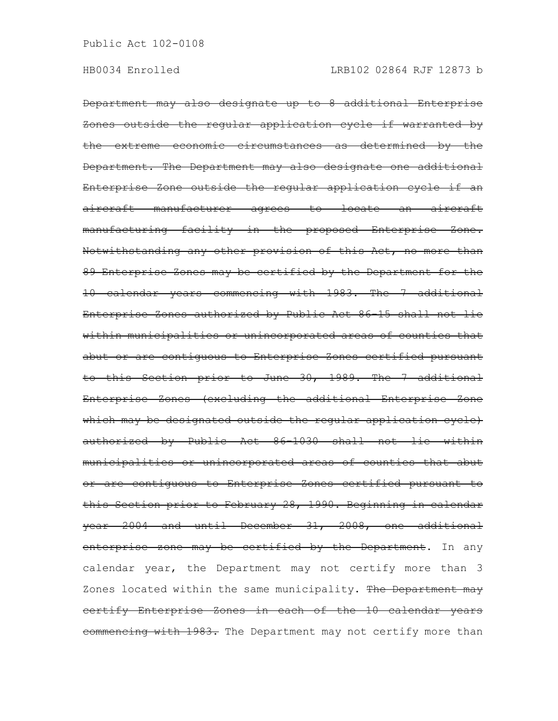Department may also designate up to 8 additional Enterprise Zones outside the regular application cycle if warranted by the extreme economic circumstances as determined by the Department. The Department may also designate one additional Enterprise Zone outside the regular application cycle if an aircraft manufacturer agrees to locate an aircraft manufacturing facility in the proposed Enterprise Zone. Notwithstanding any other provision of this Act, no more than 89 Enterprise Zones may be certified by the Department for the 10 calendar years commencing with 1983. The 7 additional Enterprise Zones authorized by Public Act 86-15 shall not lie within municipalities or unincorporated areas of counties that abut or are contiguous to Enterprise Zones certified pursuant to this Section prior to June 30, 1989. The 7 additional Enterprise Zones (excluding the additional Enterprise Zone which may be designated outside the regular application cycle) authorized by Public Act 86-1030 shall not lie within municipalities or unincorporated areas of counties that abut or are contiguous to Enterprise Zones certified pursuant to this Section prior to February 28, 1990. Beginning in calendar year 2004 and until December 31, 2008, one additional enterprise zone may be certified by the Department. In any calendar year, the Department may not certify more than 3 Zones located within the same municipality. The Department may certify Enterprise Zones in each of the 10 calendar years commencing with 1983. The Department may not certify more than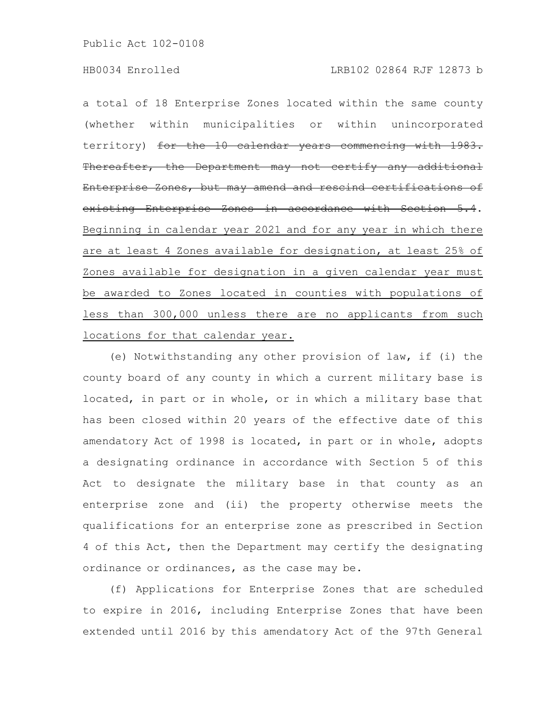a total of 18 Enterprise Zones located within the same county (whether within municipalities or within unincorporated territory) for the 10 calendar years commencing with 1983. Thereafter, the Department may not certify any additional Enterprise Zones, but may amend and rescind certifications of existing Enterprise Zones in accordance with Section 5.4. Beginning in calendar year 2021 and for any year in which there are at least 4 Zones available for designation, at least 25% of Zones available for designation in a given calendar year must be awarded to Zones located in counties with populations of less than 300,000 unless there are no applicants from such locations for that calendar year.

(e) Notwithstanding any other provision of law, if (i) the county board of any county in which a current military base is located, in part or in whole, or in which a military base that has been closed within 20 years of the effective date of this amendatory Act of 1998 is located, in part or in whole, adopts a designating ordinance in accordance with Section 5 of this Act to designate the military base in that county as an enterprise zone and (ii) the property otherwise meets the qualifications for an enterprise zone as prescribed in Section 4 of this Act, then the Department may certify the designating ordinance or ordinances, as the case may be.

(f) Applications for Enterprise Zones that are scheduled to expire in 2016, including Enterprise Zones that have been extended until 2016 by this amendatory Act of the 97th General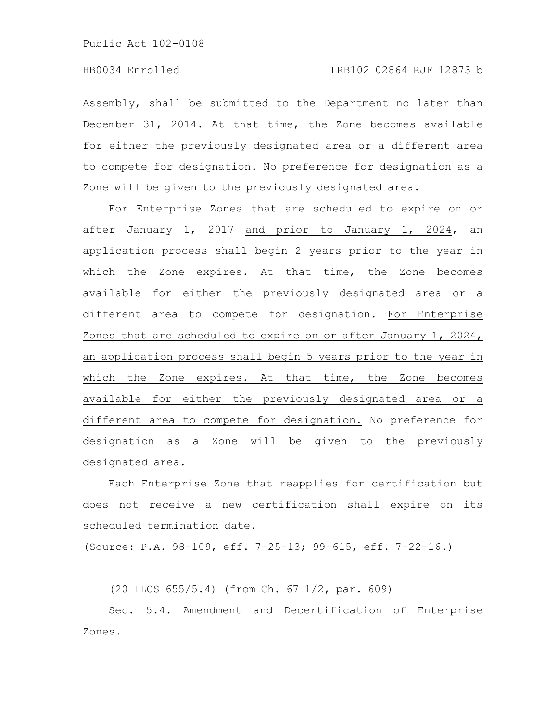Assembly, shall be submitted to the Department no later than December 31, 2014. At that time, the Zone becomes available for either the previously designated area or a different area to compete for designation. No preference for designation as a Zone will be given to the previously designated area.

For Enterprise Zones that are scheduled to expire on or after January 1, 2017 and prior to January 1, 2024, an application process shall begin 2 years prior to the year in which the Zone expires. At that time, the Zone becomes available for either the previously designated area or a different area to compete for designation. For Enterprise Zones that are scheduled to expire on or after January 1, 2024, an application process shall begin 5 years prior to the year in which the Zone expires. At that time, the Zone becomes available for either the previously designated area or a different area to compete for designation. No preference for designation as a Zone will be given to the previously designated area.

Each Enterprise Zone that reapplies for certification but does not receive a new certification shall expire on its scheduled termination date.

(Source: P.A. 98-109, eff. 7-25-13; 99-615, eff. 7-22-16.)

(20 ILCS 655/5.4) (from Ch. 67 1/2, par. 609)

Sec. 5.4. Amendment and Decertification of Enterprise Zones.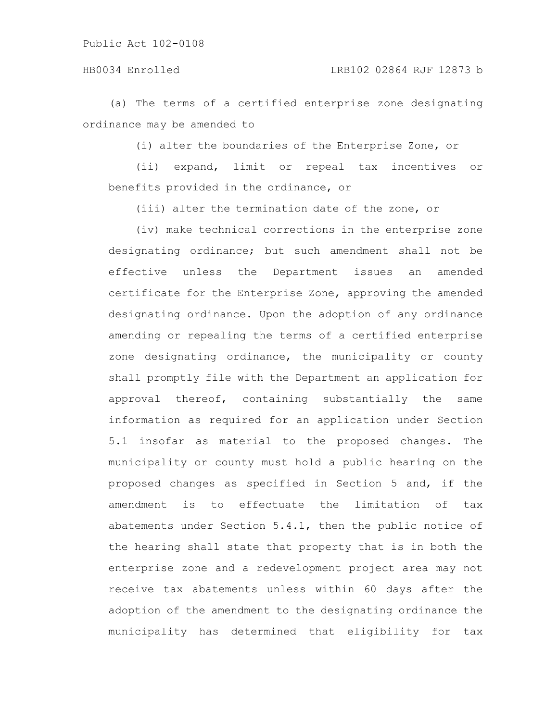(a) The terms of a certified enterprise zone designating ordinance may be amended to

(i) alter the boundaries of the Enterprise Zone, or

(ii) expand, limit or repeal tax incentives or benefits provided in the ordinance, or

(iii) alter the termination date of the zone, or

(iv) make technical corrections in the enterprise zone designating ordinance; but such amendment shall not be effective unless the Department issues an amended certificate for the Enterprise Zone, approving the amended designating ordinance. Upon the adoption of any ordinance amending or repealing the terms of a certified enterprise zone designating ordinance, the municipality or county shall promptly file with the Department an application for approval thereof, containing substantially the same information as required for an application under Section 5.1 insofar as material to the proposed changes. The municipality or county must hold a public hearing on the proposed changes as specified in Section 5 and, if the amendment is to effectuate the limitation of tax abatements under Section 5.4.1, then the public notice of the hearing shall state that property that is in both the enterprise zone and a redevelopment project area may not receive tax abatements unless within 60 days after the adoption of the amendment to the designating ordinance the municipality has determined that eligibility for tax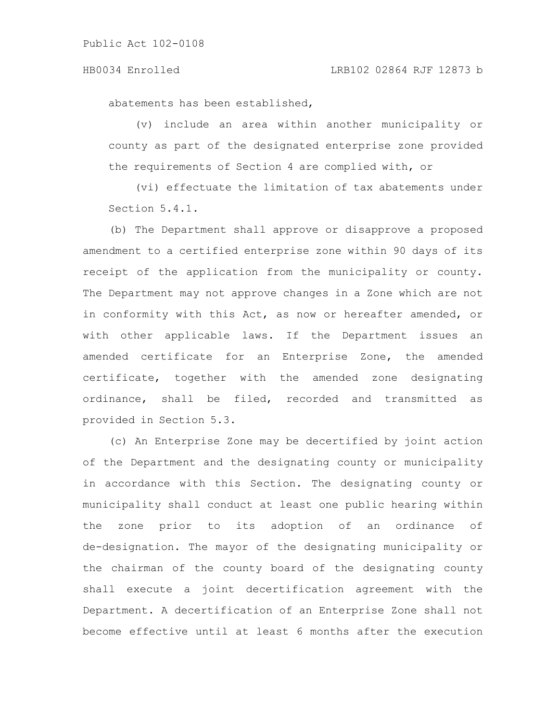#### HB0034 Enrolled LRB102 02864 RJF 12873 b

abatements has been established,

(v) include an area within another municipality or county as part of the designated enterprise zone provided the requirements of Section 4 are complied with, or

(vi) effectuate the limitation of tax abatements under Section 5.4.1.

(b) The Department shall approve or disapprove a proposed amendment to a certified enterprise zone within 90 days of its receipt of the application from the municipality or county. The Department may not approve changes in a Zone which are not in conformity with this Act, as now or hereafter amended, or with other applicable laws. If the Department issues an amended certificate for an Enterprise Zone, the amended certificate, together with the amended zone designating ordinance, shall be filed, recorded and transmitted as provided in Section 5.3.

(c) An Enterprise Zone may be decertified by joint action of the Department and the designating county or municipality in accordance with this Section. The designating county or municipality shall conduct at least one public hearing within the zone prior to its adoption of an ordinance of de-designation. The mayor of the designating municipality or the chairman of the county board of the designating county shall execute a joint decertification agreement with the Department. A decertification of an Enterprise Zone shall not become effective until at least 6 months after the execution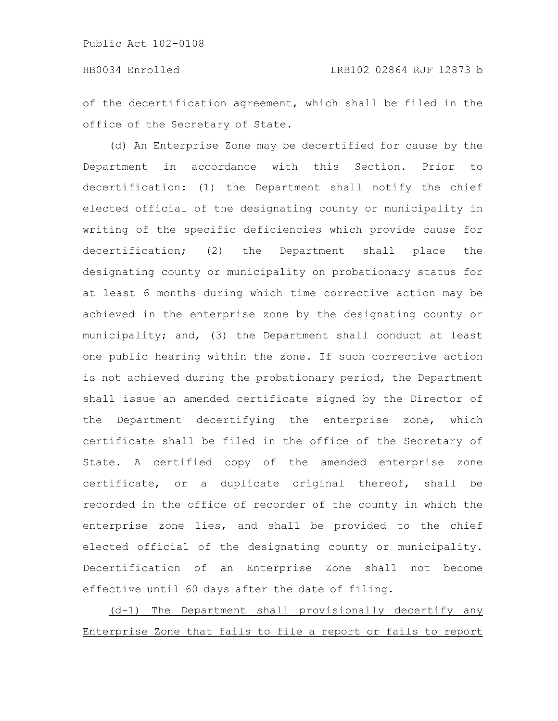of the decertification agreement, which shall be filed in the office of the Secretary of State.

(d) An Enterprise Zone may be decertified for cause by the Department in accordance with this Section. Prior to decertification: (1) the Department shall notify the chief elected official of the designating county or municipality in writing of the specific deficiencies which provide cause for decertification; (2) the Department shall place the designating county or municipality on probationary status for at least 6 months during which time corrective action may be achieved in the enterprise zone by the designating county or municipality; and, (3) the Department shall conduct at least one public hearing within the zone. If such corrective action is not achieved during the probationary period, the Department shall issue an amended certificate signed by the Director of the Department decertifying the enterprise zone, which certificate shall be filed in the office of the Secretary of State. A certified copy of the amended enterprise zone certificate, or a duplicate original thereof, shall be recorded in the office of recorder of the county in which the enterprise zone lies, and shall be provided to the chief elected official of the designating county or municipality. Decertification of an Enterprise Zone shall not become effective until 60 days after the date of filing.

(d-1) The Department shall provisionally decertify any Enterprise Zone that fails to file a report or fails to report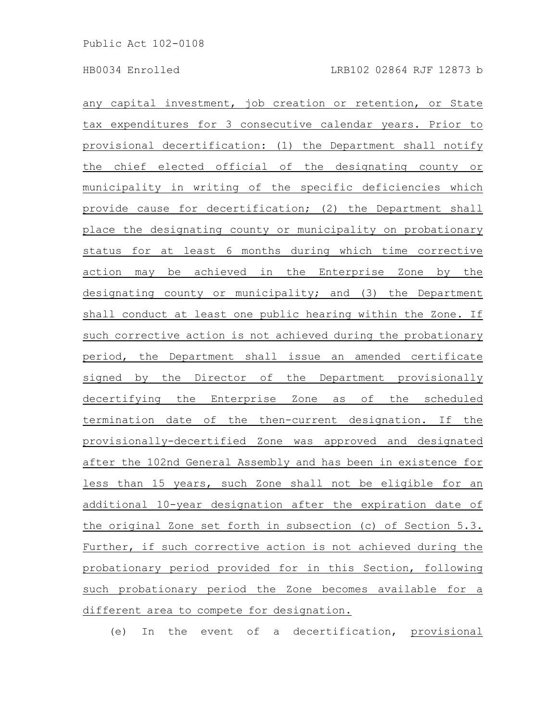any capital investment, job creation or retention, or State tax expenditures for 3 consecutive calendar years. Prior to provisional decertification: (1) the Department shall notify the chief elected official of the designating county or municipality in writing of the specific deficiencies which provide cause for decertification; (2) the Department shall place the designating county or municipality on probationary status for at least 6 months during which time corrective action may be achieved in the Enterprise Zone by the designating county or municipality; and (3) the Department shall conduct at least one public hearing within the Zone. If such corrective action is not achieved during the probationary period, the Department shall issue an amended certificate signed by the Director of the Department provisionally decertifying the Enterprise Zone as of the scheduled termination date of the then-current designation. If the provisionally-decertified Zone was approved and designated after the 102nd General Assembly and has been in existence for less than 15 years, such Zone shall not be eligible for an additional 10-year designation after the expiration date of the original Zone set forth in subsection (c) of Section 5.3. Further, if such corrective action is not achieved during the probationary period provided for in this Section, following such probationary period the Zone becomes available for a different area to compete for designation.

(e) In the event of a decertification, provisional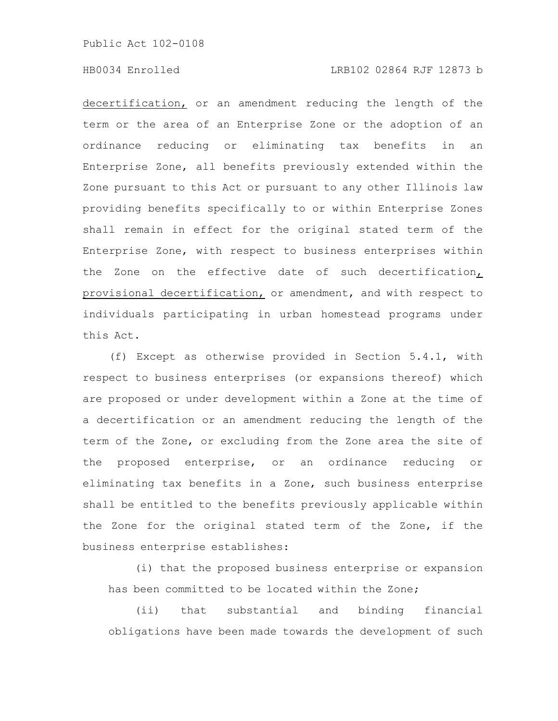# HB0034 Enrolled LRB102 02864 RJF 12873 b

decertification, or an amendment reducing the length of the term or the area of an Enterprise Zone or the adoption of an ordinance reducing or eliminating tax benefits in an Enterprise Zone, all benefits previously extended within the Zone pursuant to this Act or pursuant to any other Illinois law providing benefits specifically to or within Enterprise Zones shall remain in effect for the original stated term of the Enterprise Zone, with respect to business enterprises within the Zone on the effective date of such decertification, provisional decertification, or amendment, and with respect to individuals participating in urban homestead programs under this Act.

(f) Except as otherwise provided in Section 5.4.1, with respect to business enterprises (or expansions thereof) which are proposed or under development within a Zone at the time of a decertification or an amendment reducing the length of the term of the Zone, or excluding from the Zone area the site of the proposed enterprise, or an ordinance reducing or eliminating tax benefits in a Zone, such business enterprise shall be entitled to the benefits previously applicable within the Zone for the original stated term of the Zone, if the business enterprise establishes:

(i) that the proposed business enterprise or expansion has been committed to be located within the Zone;

(ii) that substantial and binding financial obligations have been made towards the development of such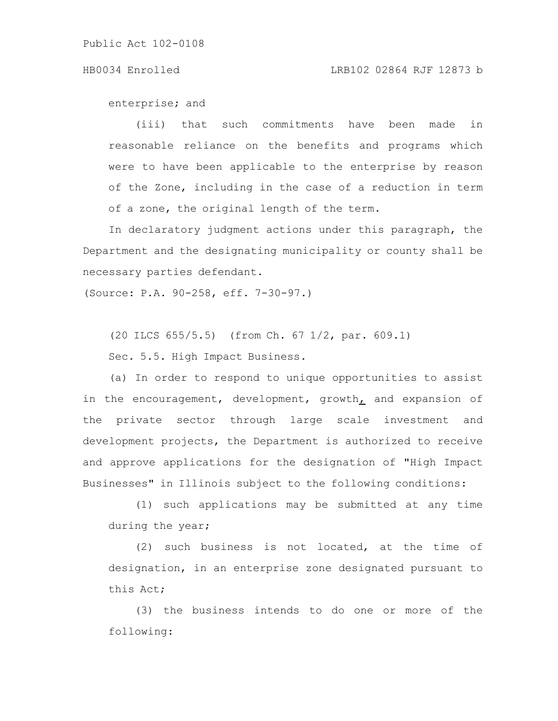enterprise; and

(iii) that such commitments have been made in reasonable reliance on the benefits and programs which were to have been applicable to the enterprise by reason of the Zone, including in the case of a reduction in term of a zone, the original length of the term.

In declaratory judgment actions under this paragraph, the Department and the designating municipality or county shall be necessary parties defendant.

(Source: P.A. 90-258, eff. 7-30-97.)

(20 ILCS 655/5.5) (from Ch. 67 1/2, par. 609.1)

Sec. 5.5. High Impact Business.

(a) In order to respond to unique opportunities to assist in the encouragement, development, growth $<sub>L</sub>$  and expansion of</sub> the private sector through large scale investment and development projects, the Department is authorized to receive and approve applications for the designation of "High Impact Businesses" in Illinois subject to the following conditions:

(1) such applications may be submitted at any time during the year;

(2) such business is not located, at the time of designation, in an enterprise zone designated pursuant to this Act;

(3) the business intends to do one or more of the following: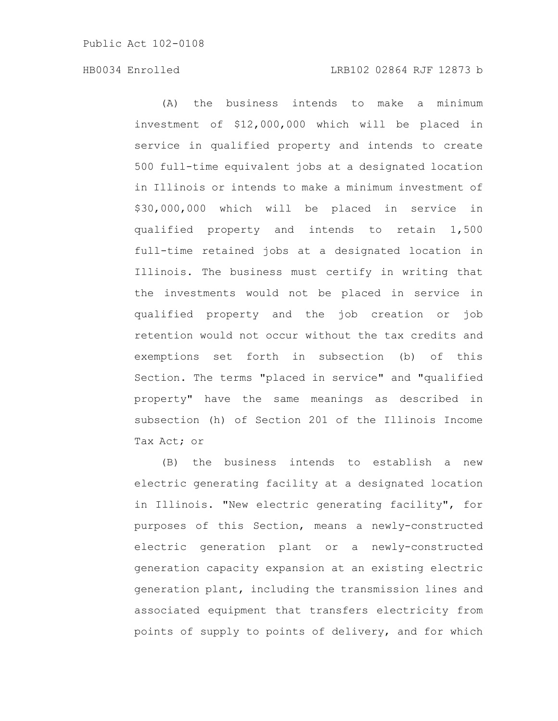(A) the business intends to make a minimum investment of \$12,000,000 which will be placed in service in qualified property and intends to create 500 full-time equivalent jobs at a designated location in Illinois or intends to make a minimum investment of \$30,000,000 which will be placed in service in qualified property and intends to retain 1,500 full-time retained jobs at a designated location in Illinois. The business must certify in writing that the investments would not be placed in service in qualified property and the job creation or job retention would not occur without the tax credits and exemptions set forth in subsection (b) of this Section. The terms "placed in service" and "qualified property" have the same meanings as described in subsection (h) of Section 201 of the Illinois Income Tax Act; or

(B) the business intends to establish a new electric generating facility at a designated location in Illinois. "New electric generating facility", for purposes of this Section, means a newly-constructed electric generation plant or a newly-constructed generation capacity expansion at an existing electric generation plant, including the transmission lines and associated equipment that transfers electricity from points of supply to points of delivery, and for which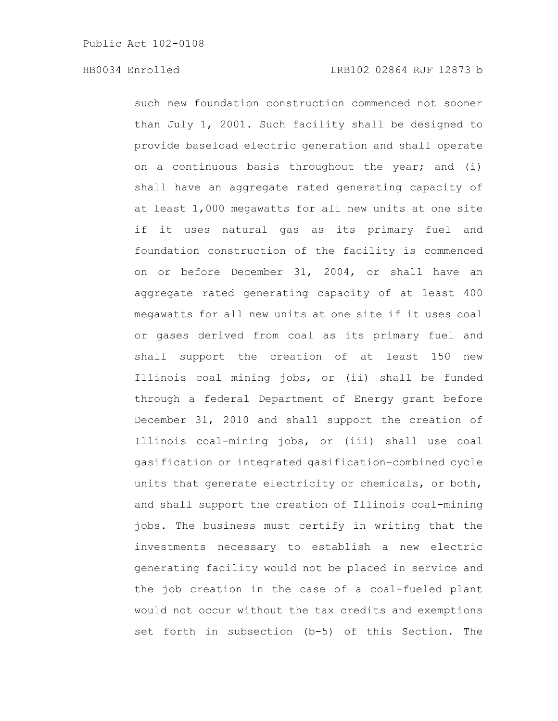such new foundation construction commenced not sooner than July 1, 2001. Such facility shall be designed to provide baseload electric generation and shall operate on a continuous basis throughout the year; and (i) shall have an aggregate rated generating capacity of at least 1,000 megawatts for all new units at one site if it uses natural gas as its primary fuel and foundation construction of the facility is commenced on or before December 31, 2004, or shall have an aggregate rated generating capacity of at least 400 megawatts for all new units at one site if it uses coal or gases derived from coal as its primary fuel and shall support the creation of at least 150 new Illinois coal mining jobs, or (ii) shall be funded through a federal Department of Energy grant before December 31, 2010 and shall support the creation of Illinois coal-mining jobs, or (iii) shall use coal gasification or integrated gasification-combined cycle units that generate electricity or chemicals, or both, and shall support the creation of Illinois coal-mining jobs. The business must certify in writing that the investments necessary to establish a new electric generating facility would not be placed in service and the job creation in the case of a coal-fueled plant would not occur without the tax credits and exemptions set forth in subsection (b-5) of this Section. The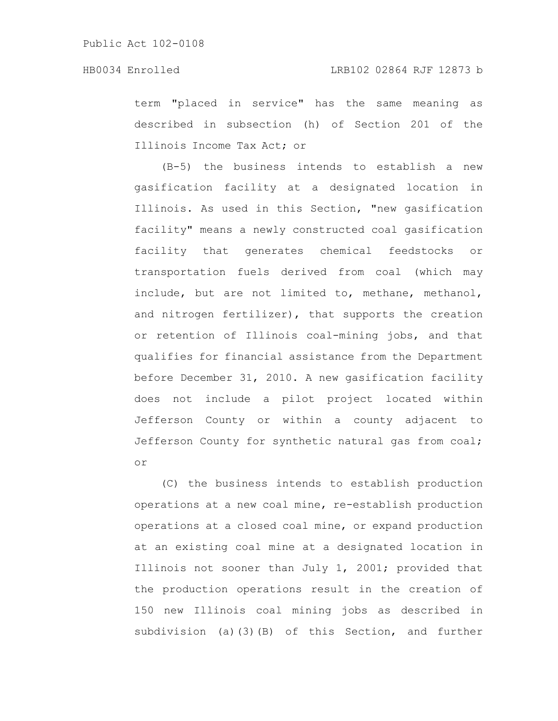term "placed in service" has the same meaning as described in subsection (h) of Section 201 of the Illinois Income Tax Act; or

(B-5) the business intends to establish a new gasification facility at a designated location in Illinois. As used in this Section, "new gasification facility" means a newly constructed coal gasification facility that generates chemical feedstocks or transportation fuels derived from coal (which may include, but are not limited to, methane, methanol, and nitrogen fertilizer), that supports the creation or retention of Illinois coal-mining jobs, and that qualifies for financial assistance from the Department before December 31, 2010. A new gasification facility does not include a pilot project located within Jefferson County or within a county adjacent to Jefferson County for synthetic natural gas from coal; or

(C) the business intends to establish production operations at a new coal mine, re-establish production operations at a closed coal mine, or expand production at an existing coal mine at a designated location in Illinois not sooner than July 1, 2001; provided that the production operations result in the creation of 150 new Illinois coal mining jobs as described in subdivision (a)(3)(B) of this Section, and further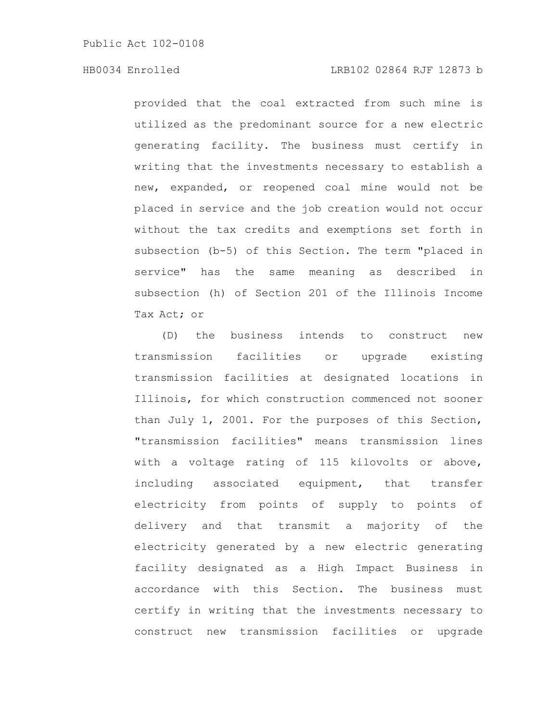# HB0034 Enrolled LRB102 02864 RJF 12873 b

provided that the coal extracted from such mine is utilized as the predominant source for a new electric generating facility. The business must certify in writing that the investments necessary to establish a new, expanded, or reopened coal mine would not be placed in service and the job creation would not occur without the tax credits and exemptions set forth in subsection (b-5) of this Section. The term "placed in service" has the same meaning as described in subsection (h) of Section 201 of the Illinois Income Tax Act; or

(D) the business intends to construct new transmission facilities or upgrade existing transmission facilities at designated locations in Illinois, for which construction commenced not sooner than July 1, 2001. For the purposes of this Section, "transmission facilities" means transmission lines with a voltage rating of 115 kilovolts or above, including associated equipment, that transfer electricity from points of supply to points of delivery and that transmit a majority of the electricity generated by a new electric generating facility designated as a High Impact Business in accordance with this Section. The business must certify in writing that the investments necessary to construct new transmission facilities or upgrade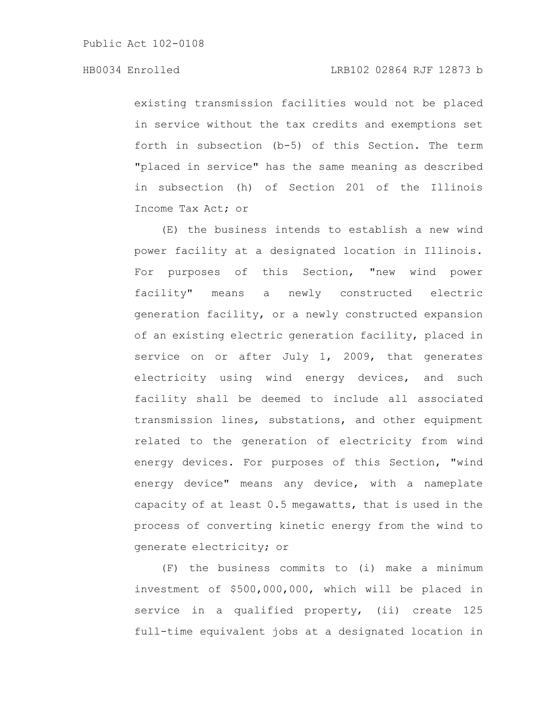# HB0034 Enrolled LRB102 02864 RJF 12873 b

existing transmission facilities would not be placed in service without the tax credits and exemptions set forth in subsection (b-5) of this Section. The term "placed in service" has the same meaning as described in subsection (h) of Section 201 of the Illinois Income Tax Act; or

(E) the business intends to establish a new wind power facility at a designated location in Illinois. For purposes of this Section, "new wind power facility" means a newly constructed electric generation facility, or a newly constructed expansion of an existing electric generation facility, placed in service on or after July 1, 2009, that generates electricity using wind energy devices, and such facility shall be deemed to include all associated transmission lines, substations, and other equipment related to the generation of electricity from wind energy devices. For purposes of this Section, "wind energy device" means any device, with a nameplate capacity of at least 0.5 megawatts, that is used in the process of converting kinetic energy from the wind to generate electricity; or

(F) the business commits to (i) make a minimum investment of \$500,000,000, which will be placed in service in a qualified property, (ii) create 125 full-time equivalent jobs at a designated location in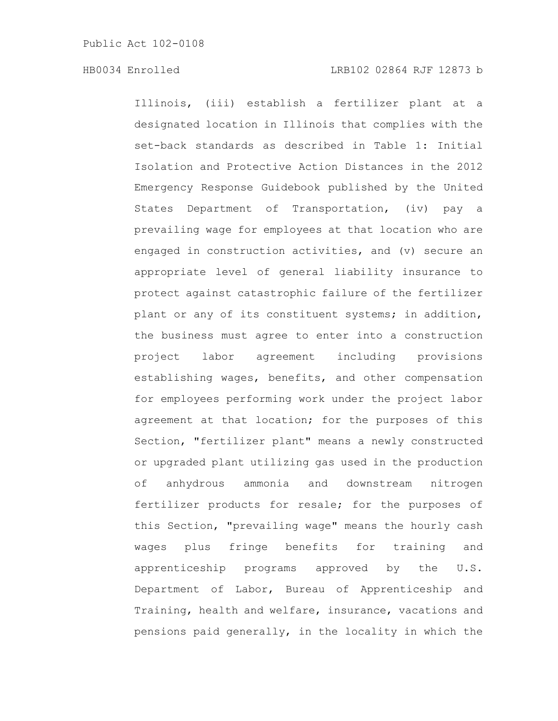Illinois, (iii) establish a fertilizer plant at a designated location in Illinois that complies with the set-back standards as described in Table 1: Initial Isolation and Protective Action Distances in the 2012 Emergency Response Guidebook published by the United States Department of Transportation, (iv) pay a prevailing wage for employees at that location who are engaged in construction activities, and (v) secure an appropriate level of general liability insurance to protect against catastrophic failure of the fertilizer plant or any of its constituent systems; in addition, the business must agree to enter into a construction project labor agreement including provisions establishing wages, benefits, and other compensation for employees performing work under the project labor agreement at that location; for the purposes of this Section, "fertilizer plant" means a newly constructed or upgraded plant utilizing gas used in the production of anhydrous ammonia and downstream nitrogen fertilizer products for resale; for the purposes of this Section, "prevailing wage" means the hourly cash wages plus fringe benefits for training and apprenticeship programs approved by the U.S. Department of Labor, Bureau of Apprenticeship and Training, health and welfare, insurance, vacations and pensions paid generally, in the locality in which the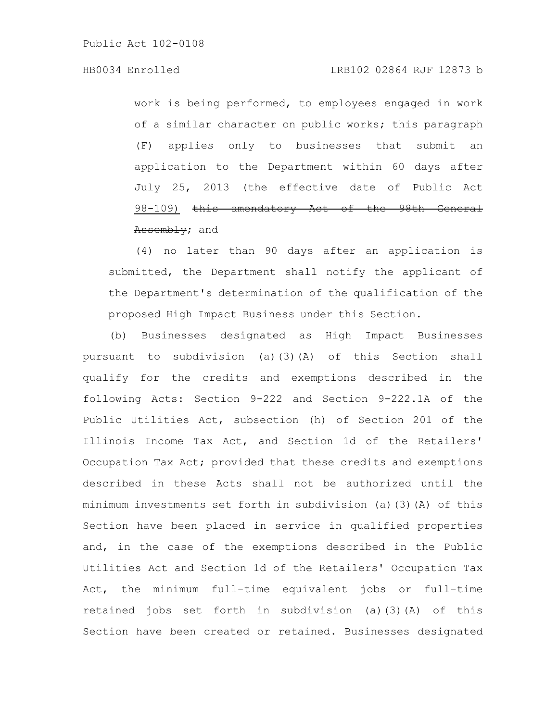# HB0034 Enrolled LRB102 02864 RJF 12873 b

work is being performed, to employees engaged in work of a similar character on public works; this paragraph (F) applies only to businesses that submit an application to the Department within 60 days after July 25, 2013 (the effective date of Public Act 98-109) this amendatory Act of the 98th General Assembly; and

(4) no later than 90 days after an application is submitted, the Department shall notify the applicant of the Department's determination of the qualification of the proposed High Impact Business under this Section.

(b) Businesses designated as High Impact Businesses pursuant to subdivision (a)(3)(A) of this Section shall qualify for the credits and exemptions described in the following Acts: Section 9-222 and Section 9-222.1A of the Public Utilities Act, subsection (h) of Section 201 of the Illinois Income Tax Act, and Section 1d of the Retailers' Occupation Tax Act; provided that these credits and exemptions described in these Acts shall not be authorized until the minimum investments set forth in subdivision (a)(3)(A) of this Section have been placed in service in qualified properties and, in the case of the exemptions described in the Public Utilities Act and Section 1d of the Retailers' Occupation Tax Act, the minimum full-time equivalent jobs or full-time retained jobs set forth in subdivision (a)(3)(A) of this Section have been created or retained. Businesses designated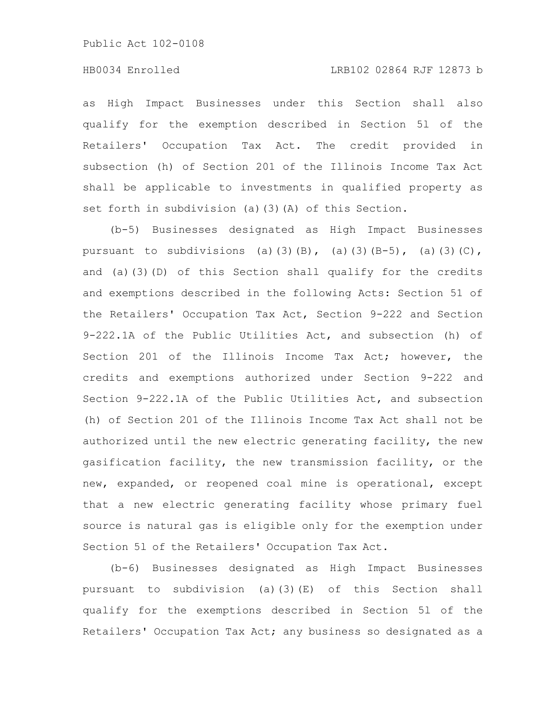# HB0034 Enrolled LRB102 02864 RJF 12873 b

as High Impact Businesses under this Section shall also qualify for the exemption described in Section 5l of the Retailers' Occupation Tax Act. The credit provided in subsection (h) of Section 201 of the Illinois Income Tax Act shall be applicable to investments in qualified property as set forth in subdivision (a)(3)(A) of this Section.

(b-5) Businesses designated as High Impact Businesses pursuant to subdivisions (a)(3)(B), (a)(3)(B-5), (a)(3)(C), and (a)(3)(D) of this Section shall qualify for the credits and exemptions described in the following Acts: Section 51 of the Retailers' Occupation Tax Act, Section 9-222 and Section 9-222.1A of the Public Utilities Act, and subsection (h) of Section 201 of the Illinois Income Tax Act; however, the credits and exemptions authorized under Section 9-222 and Section 9-222.1A of the Public Utilities Act, and subsection (h) of Section 201 of the Illinois Income Tax Act shall not be authorized until the new electric generating facility, the new gasification facility, the new transmission facility, or the new, expanded, or reopened coal mine is operational, except that a new electric generating facility whose primary fuel source is natural gas is eligible only for the exemption under Section 5l of the Retailers' Occupation Tax Act.

(b-6) Businesses designated as High Impact Businesses pursuant to subdivision (a)(3)(E) of this Section shall qualify for the exemptions described in Section 5l of the Retailers' Occupation Tax Act; any business so designated as a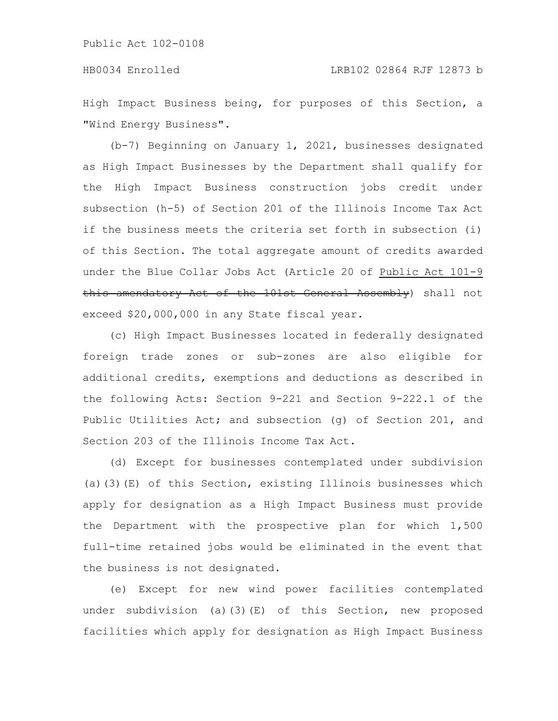High Impact Business being, for purposes of this Section, a "Wind Energy Business".

(b-7) Beginning on January 1, 2021, businesses designated as High Impact Businesses by the Department shall qualify for the High Impact Business construction jobs credit under subsection (h-5) of Section 201 of the Illinois Income Tax Act if the business meets the criteria set forth in subsection (i) of this Section. The total aggregate amount of credits awarded under the Blue Collar Jobs Act (Article 20 of Public Act 101-9 this amendatory Act of the 101st General Assembly) shall not exceed \$20,000,000 in any State fiscal year.

(c) High Impact Businesses located in federally designated foreign trade zones or sub-zones are also eligible for additional credits, exemptions and deductions as described in the following Acts: Section 9-221 and Section 9-222.1 of the Public Utilities Act; and subsection (g) of Section 201, and Section 203 of the Illinois Income Tax Act.

(d) Except for businesses contemplated under subdivision (a)(3)(E) of this Section, existing Illinois businesses which apply for designation as a High Impact Business must provide the Department with the prospective plan for which 1,500 full-time retained jobs would be eliminated in the event that the business is not designated.

(e) Except for new wind power facilities contemplated under subdivision (a)(3)(E) of this Section, new proposed facilities which apply for designation as High Impact Business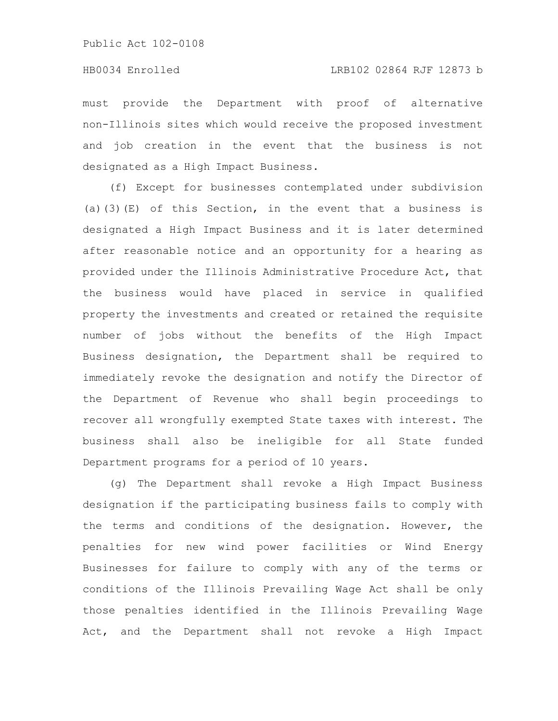must provide the Department with proof of alternative non-Illinois sites which would receive the proposed investment and job creation in the event that the business is not designated as a High Impact Business.

(f) Except for businesses contemplated under subdivision (a)(3)(E) of this Section, in the event that a business is designated a High Impact Business and it is later determined after reasonable notice and an opportunity for a hearing as provided under the Illinois Administrative Procedure Act, that the business would have placed in service in qualified property the investments and created or retained the requisite number of jobs without the benefits of the High Impact Business designation, the Department shall be required to immediately revoke the designation and notify the Director of the Department of Revenue who shall begin proceedings to recover all wrongfully exempted State taxes with interest. The business shall also be ineligible for all State funded Department programs for a period of 10 years.

(g) The Department shall revoke a High Impact Business designation if the participating business fails to comply with the terms and conditions of the designation. However, the penalties for new wind power facilities or Wind Energy Businesses for failure to comply with any of the terms or conditions of the Illinois Prevailing Wage Act shall be only those penalties identified in the Illinois Prevailing Wage Act, and the Department shall not revoke a High Impact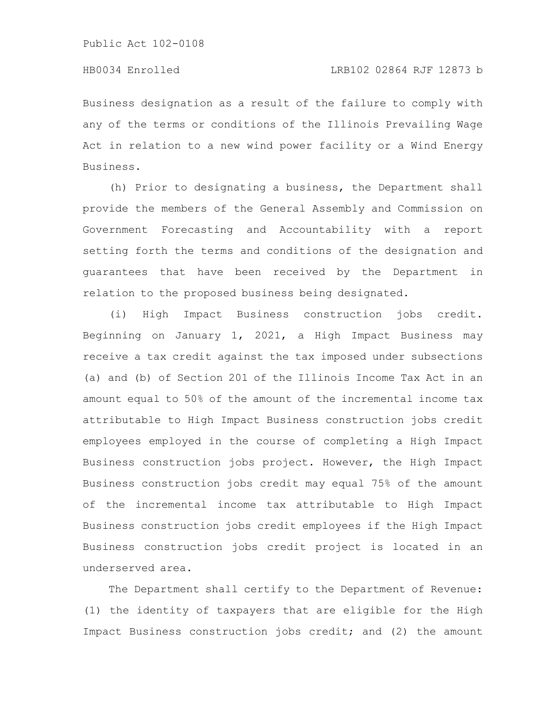Business designation as a result of the failure to comply with any of the terms or conditions of the Illinois Prevailing Wage Act in relation to a new wind power facility or a Wind Energy Business.

(h) Prior to designating a business, the Department shall provide the members of the General Assembly and Commission on Government Forecasting and Accountability with a report setting forth the terms and conditions of the designation and guarantees that have been received by the Department in relation to the proposed business being designated.

(i) High Impact Business construction jobs credit. Beginning on January 1, 2021, a High Impact Business may receive a tax credit against the tax imposed under subsections (a) and (b) of Section 201 of the Illinois Income Tax Act in an amount equal to 50% of the amount of the incremental income tax attributable to High Impact Business construction jobs credit employees employed in the course of completing a High Impact Business construction jobs project. However, the High Impact Business construction jobs credit may equal 75% of the amount of the incremental income tax attributable to High Impact Business construction jobs credit employees if the High Impact Business construction jobs credit project is located in an underserved area.

The Department shall certify to the Department of Revenue: (1) the identity of taxpayers that are eligible for the High Impact Business construction jobs credit; and (2) the amount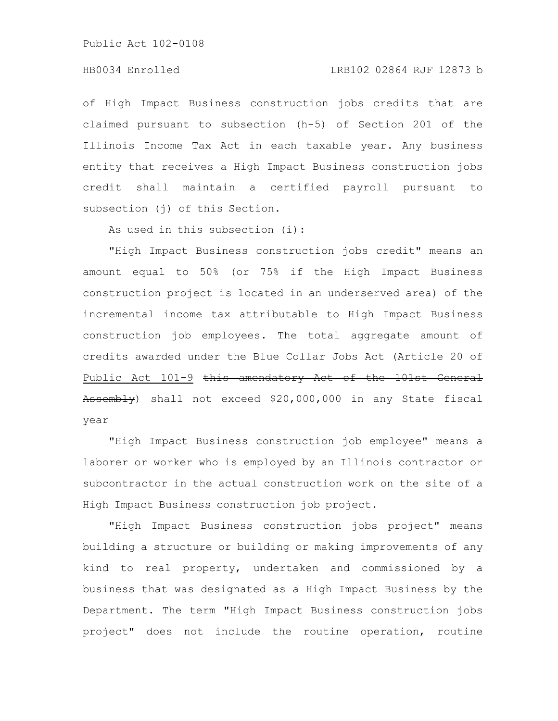#### HB0034 Enrolled LRB102 02864 RJF 12873 b

of High Impact Business construction jobs credits that are claimed pursuant to subsection (h-5) of Section 201 of the Illinois Income Tax Act in each taxable year. Any business entity that receives a High Impact Business construction jobs credit shall maintain a certified payroll pursuant to subsection (j) of this Section.

As used in this subsection (i):

"High Impact Business construction jobs credit" means an amount equal to 50% (or 75% if the High Impact Business construction project is located in an underserved area) of the incremental income tax attributable to High Impact Business construction job employees. The total aggregate amount of credits awarded under the Blue Collar Jobs Act (Article 20 of Public Act 101-9 this amendatory Act of the 101st General Assembly) shall not exceed \$20,000,000 in any State fiscal year

"High Impact Business construction job employee" means a laborer or worker who is employed by an Illinois contractor or subcontractor in the actual construction work on the site of a High Impact Business construction job project.

"High Impact Business construction jobs project" means building a structure or building or making improvements of any kind to real property, undertaken and commissioned by a business that was designated as a High Impact Business by the Department. The term "High Impact Business construction jobs project" does not include the routine operation, routine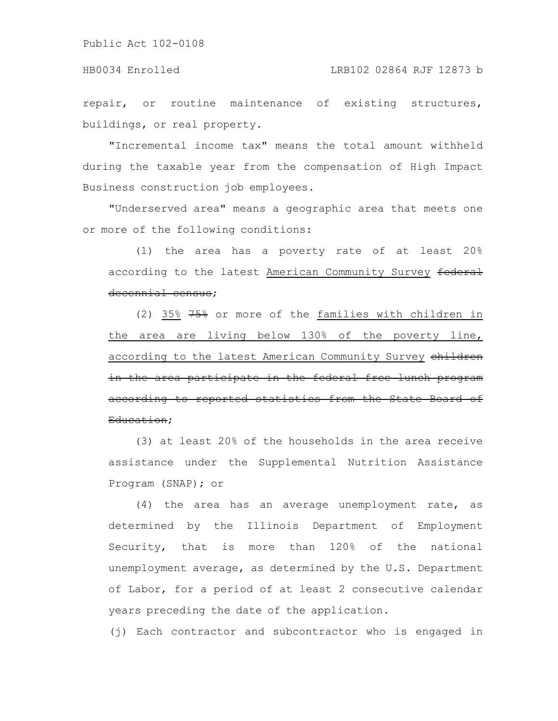#### HB0034 Enrolled LRB102 02864 RJF 12873 b

repair, or routine maintenance of existing structures, buildings, or real property.

"Incremental income tax" means the total amount withheld during the taxable year from the compensation of High Impact Business construction job employees.

"Underserved area" means a geographic area that meets one or more of the following conditions:

(1) the area has a poverty rate of at least 20% according to the latest American Community Survey federal decennial census;

(2) 35% 75% or more of the families with children in the area are living below 130% of the poverty line, according to the latest American Community Survey children in the area participate in the federal free lunch program according to reported statistics from the State Board of Education;

(3) at least 20% of the households in the area receive assistance under the Supplemental Nutrition Assistance Program (SNAP); or

(4) the area has an average unemployment rate, as determined by the Illinois Department of Employment Security, that is more than 120% of the national unemployment average, as determined by the U.S. Department of Labor, for a period of at least 2 consecutive calendar years preceding the date of the application.

(j) Each contractor and subcontractor who is engaged in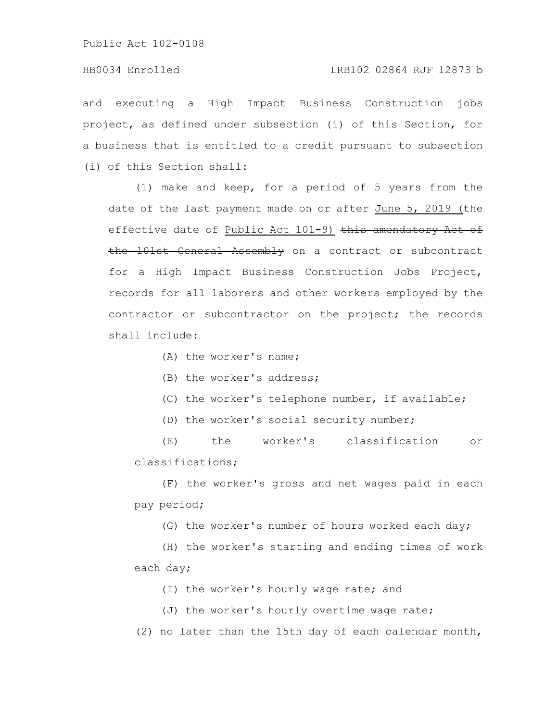# HB0034 Enrolled LRB102 02864 RJF 12873 b

and executing a High Impact Business Construction jobs project, as defined under subsection (i) of this Section, for a business that is entitled to a credit pursuant to subsection (i) of this Section shall:

(1) make and keep, for a period of 5 years from the date of the last payment made on or after June 5, 2019 (the effective date of Public Act 101-9) this amendatory Act of the 101st General Assembly on a contract or subcontract for a High Impact Business Construction Jobs Project, records for all laborers and other workers employed by the contractor or subcontractor on the project; the records shall include:

(A) the worker's name;

(B) the worker's address;

- (C) the worker's telephone number, if available;
- (D) the worker's social security number;

(E) the worker's classification or classifications;

(F) the worker's gross and net wages paid in each pay period;

(G) the worker's number of hours worked each day;

(H) the worker's starting and ending times of work each day;

(I) the worker's hourly wage rate; and

(J) the worker's hourly overtime wage rate;

(2) no later than the 15th day of each calendar month,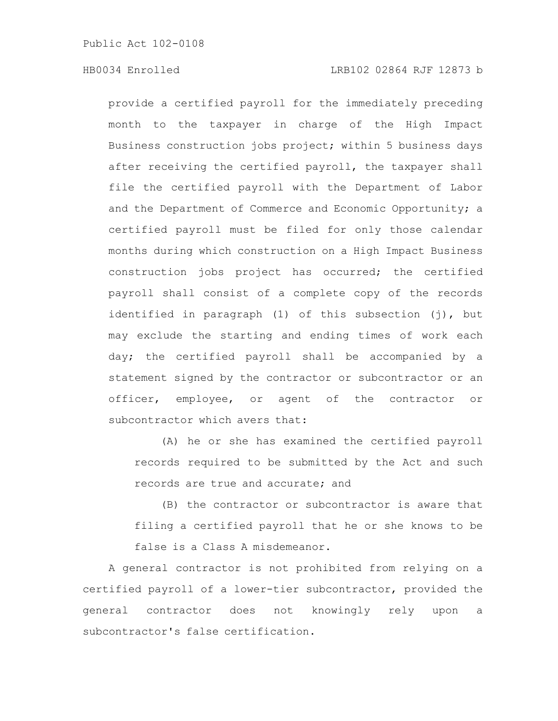provide a certified payroll for the immediately preceding month to the taxpayer in charge of the High Impact Business construction jobs project; within 5 business days after receiving the certified payroll, the taxpayer shall file the certified payroll with the Department of Labor and the Department of Commerce and Economic Opportunity; a certified payroll must be filed for only those calendar months during which construction on a High Impact Business construction jobs project has occurred; the certified payroll shall consist of a complete copy of the records identified in paragraph (1) of this subsection (j), but may exclude the starting and ending times of work each day; the certified payroll shall be accompanied by a statement signed by the contractor or subcontractor or an officer, employee, or agent of the contractor or subcontractor which avers that:

(A) he or she has examined the certified payroll records required to be submitted by the Act and such records are true and accurate; and

(B) the contractor or subcontractor is aware that filing a certified payroll that he or she knows to be false is a Class A misdemeanor.

A general contractor is not prohibited from relying on a certified payroll of a lower-tier subcontractor, provided the general contractor does not knowingly rely upon a subcontractor's false certification.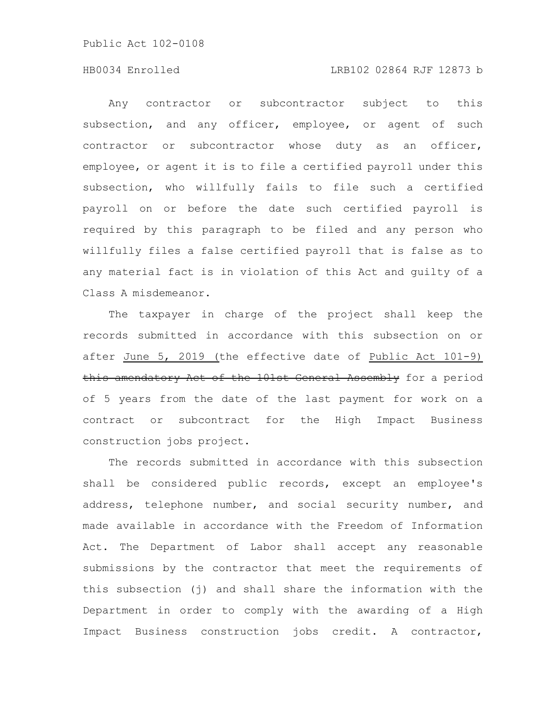#### HB0034 Enrolled LRB102 02864 RJF 12873 b

Any contractor or subcontractor subject to this subsection, and any officer, employee, or agent of such contractor or subcontractor whose duty as an officer, employee, or agent it is to file a certified payroll under this subsection, who willfully fails to file such a certified payroll on or before the date such certified payroll is required by this paragraph to be filed and any person who willfully files a false certified payroll that is false as to any material fact is in violation of this Act and guilty of a Class A misdemeanor.

The taxpayer in charge of the project shall keep the records submitted in accordance with this subsection on or after June 5, 2019 (the effective date of Public Act 101-9) this amendatory Act of the 101st General Assembly for a period of 5 years from the date of the last payment for work on a contract or subcontract for the High Impact Business construction jobs project.

The records submitted in accordance with this subsection shall be considered public records, except an employee's address, telephone number, and social security number, and made available in accordance with the Freedom of Information Act. The Department of Labor shall accept any reasonable submissions by the contractor that meet the requirements of this subsection (j) and shall share the information with the Department in order to comply with the awarding of a High Impact Business construction jobs credit. A contractor,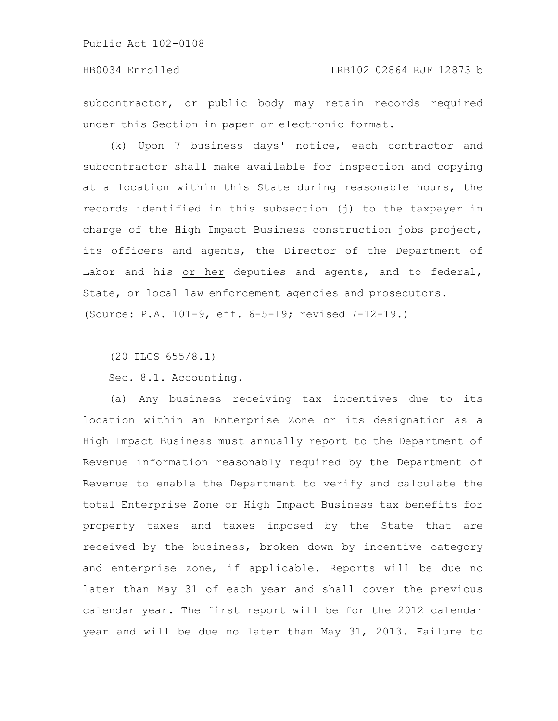# HB0034 Enrolled LRB102 02864 RJF 12873 b

subcontractor, or public body may retain records required under this Section in paper or electronic format.

(k) Upon 7 business days' notice, each contractor and subcontractor shall make available for inspection and copying at a location within this State during reasonable hours, the records identified in this subsection (j) to the taxpayer in charge of the High Impact Business construction jobs project, its officers and agents, the Director of the Department of Labor and his or her deputies and agents, and to federal, State, or local law enforcement agencies and prosecutors. (Source: P.A. 101-9, eff. 6-5-19; revised 7-12-19.)

(20 ILCS 655/8.1)

Sec. 8.1. Accounting.

(a) Any business receiving tax incentives due to its location within an Enterprise Zone or its designation as a High Impact Business must annually report to the Department of Revenue information reasonably required by the Department of Revenue to enable the Department to verify and calculate the total Enterprise Zone or High Impact Business tax benefits for property taxes and taxes imposed by the State that are received by the business, broken down by incentive category and enterprise zone, if applicable. Reports will be due no later than May 31 of each year and shall cover the previous calendar year. The first report will be for the 2012 calendar year and will be due no later than May 31, 2013. Failure to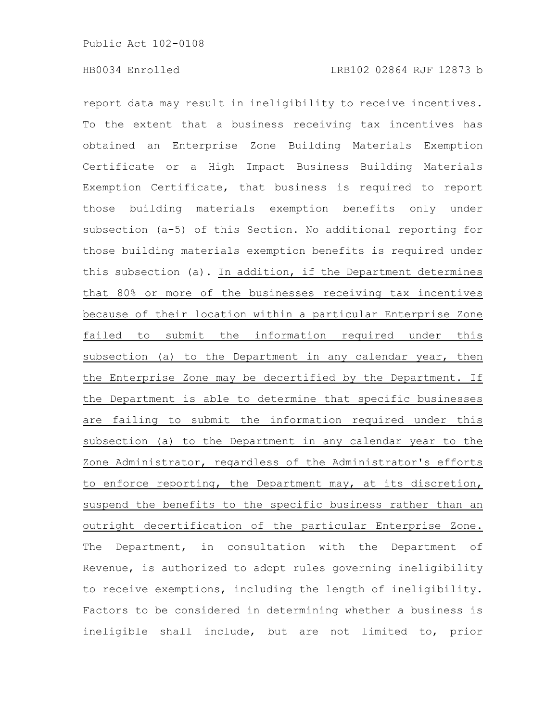report data may result in ineligibility to receive incentives. To the extent that a business receiving tax incentives has obtained an Enterprise Zone Building Materials Exemption Certificate or a High Impact Business Building Materials Exemption Certificate, that business is required to report those building materials exemption benefits only under subsection (a-5) of this Section. No additional reporting for those building materials exemption benefits is required under this subsection (a). In addition, if the Department determines that 80% or more of the businesses receiving tax incentives because of their location within a particular Enterprise Zone failed to submit the information required under this subsection (a) to the Department in any calendar year, then the Enterprise Zone may be decertified by the Department. If the Department is able to determine that specific businesses are failing to submit the information required under this subsection (a) to the Department in any calendar year to the Zone Administrator, regardless of the Administrator's efforts to enforce reporting, the Department may, at its discretion, suspend the benefits to the specific business rather than an outright decertification of the particular Enterprise Zone. The Department, in consultation with the Department of Revenue, is authorized to adopt rules governing ineligibility to receive exemptions, including the length of ineligibility. Factors to be considered in determining whether a business is ineligible shall include, but are not limited to, prior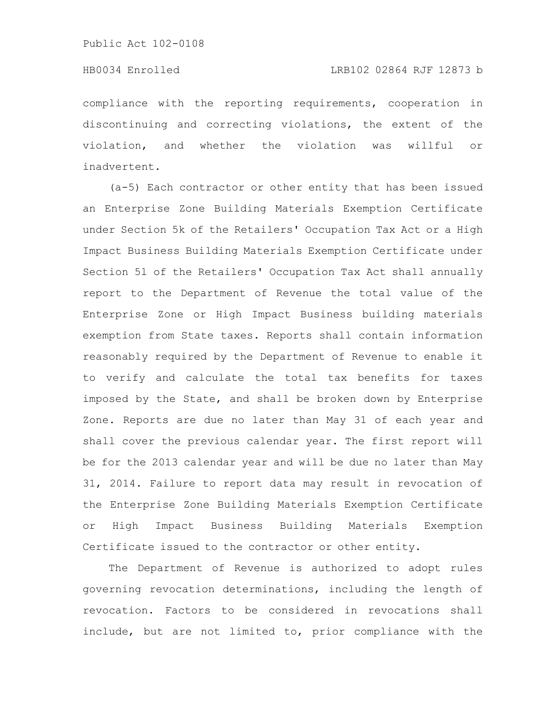compliance with the reporting requirements, cooperation in discontinuing and correcting violations, the extent of the violation, and whether the violation was willful or inadvertent.

(a-5) Each contractor or other entity that has been issued an Enterprise Zone Building Materials Exemption Certificate under Section 5k of the Retailers' Occupation Tax Act or a High Impact Business Building Materials Exemption Certificate under Section 5l of the Retailers' Occupation Tax Act shall annually report to the Department of Revenue the total value of the Enterprise Zone or High Impact Business building materials exemption from State taxes. Reports shall contain information reasonably required by the Department of Revenue to enable it to verify and calculate the total tax benefits for taxes imposed by the State, and shall be broken down by Enterprise Zone. Reports are due no later than May 31 of each year and shall cover the previous calendar year. The first report will be for the 2013 calendar year and will be due no later than May 31, 2014. Failure to report data may result in revocation of the Enterprise Zone Building Materials Exemption Certificate or High Impact Business Building Materials Exemption Certificate issued to the contractor or other entity.

The Department of Revenue is authorized to adopt rules governing revocation determinations, including the length of revocation. Factors to be considered in revocations shall include, but are not limited to, prior compliance with the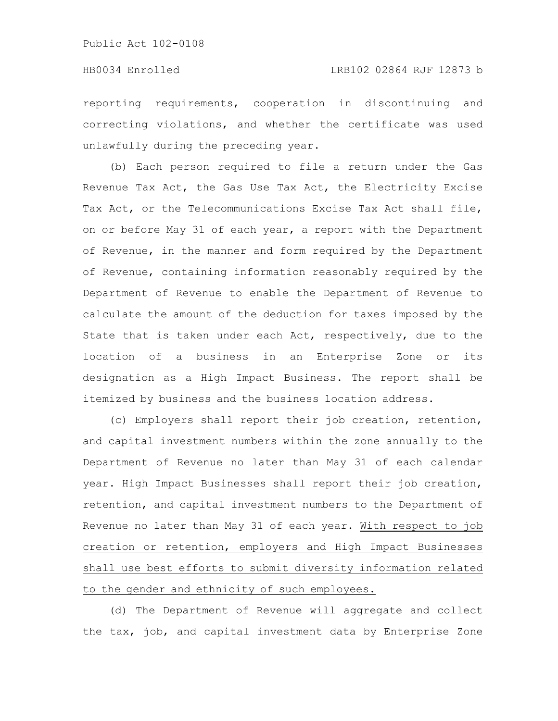reporting requirements, cooperation in discontinuing and correcting violations, and whether the certificate was used unlawfully during the preceding year.

(b) Each person required to file a return under the Gas Revenue Tax Act, the Gas Use Tax Act, the Electricity Excise Tax Act, or the Telecommunications Excise Tax Act shall file, on or before May 31 of each year, a report with the Department of Revenue, in the manner and form required by the Department of Revenue, containing information reasonably required by the Department of Revenue to enable the Department of Revenue to calculate the amount of the deduction for taxes imposed by the State that is taken under each Act, respectively, due to the location of a business in an Enterprise Zone or its designation as a High Impact Business. The report shall be itemized by business and the business location address.

(c) Employers shall report their job creation, retention, and capital investment numbers within the zone annually to the Department of Revenue no later than May 31 of each calendar year. High Impact Businesses shall report their job creation, retention, and capital investment numbers to the Department of Revenue no later than May 31 of each year. With respect to job creation or retention, employers and High Impact Businesses shall use best efforts to submit diversity information related to the gender and ethnicity of such employees.

(d) The Department of Revenue will aggregate and collect the tax, job, and capital investment data by Enterprise Zone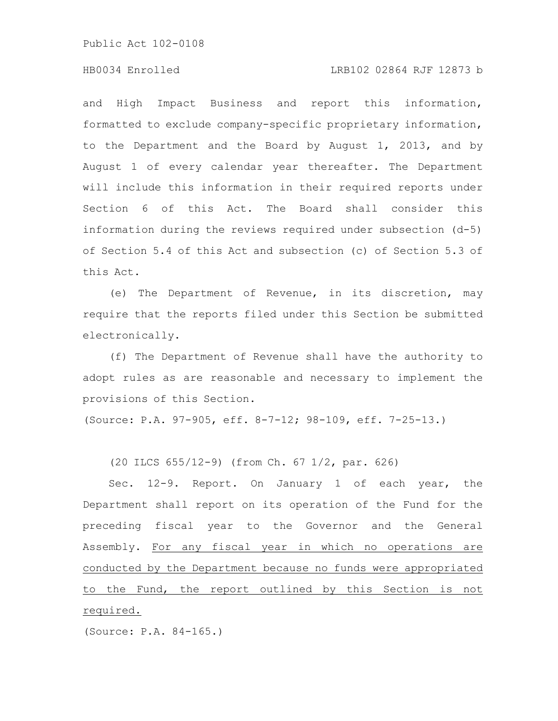#### HB0034 Enrolled LRB102 02864 RJF 12873 b

and High Impact Business and report this information, formatted to exclude company-specific proprietary information, to the Department and the Board by August 1, 2013, and by August 1 of every calendar year thereafter. The Department will include this information in their required reports under Section 6 of this Act. The Board shall consider this information during the reviews required under subsection (d-5) of Section 5.4 of this Act and subsection (c) of Section 5.3 of this Act.

(e) The Department of Revenue, in its discretion, may require that the reports filed under this Section be submitted electronically.

(f) The Department of Revenue shall have the authority to adopt rules as are reasonable and necessary to implement the provisions of this Section.

(Source: P.A. 97-905, eff. 8-7-12; 98-109, eff. 7-25-13.)

(20 ILCS 655/12-9) (from Ch. 67 1/2, par. 626)

Sec. 12-9. Report. On January 1 of each year, the Department shall report on its operation of the Fund for the preceding fiscal year to the Governor and the General Assembly. For any fiscal year in which no operations are conducted by the Department because no funds were appropriated to the Fund, the report outlined by this Section is not required.

(Source: P.A. 84-165.)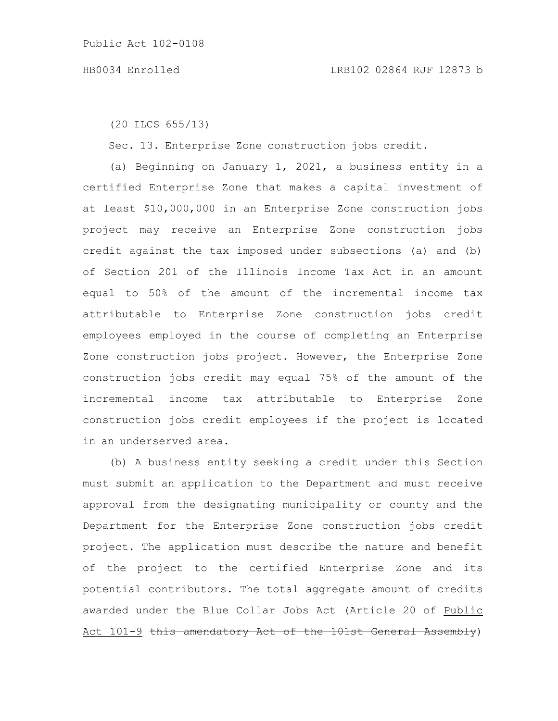(20 ILCS 655/13)

Sec. 13. Enterprise Zone construction jobs credit.

(a) Beginning on January 1, 2021, a business entity in a certified Enterprise Zone that makes a capital investment of at least \$10,000,000 in an Enterprise Zone construction jobs project may receive an Enterprise Zone construction jobs credit against the tax imposed under subsections (a) and (b) of Section 201 of the Illinois Income Tax Act in an amount equal to 50% of the amount of the incremental income tax attributable to Enterprise Zone construction jobs credit employees employed in the course of completing an Enterprise Zone construction jobs project. However, the Enterprise Zone construction jobs credit may equal 75% of the amount of the incremental income tax attributable to Enterprise Zone construction jobs credit employees if the project is located in an underserved area.

(b) A business entity seeking a credit under this Section must submit an application to the Department and must receive approval from the designating municipality or county and the Department for the Enterprise Zone construction jobs credit project. The application must describe the nature and benefit of the project to the certified Enterprise Zone and its potential contributors. The total aggregate amount of credits awarded under the Blue Collar Jobs Act (Article 20 of Public Act 101-9 this amendatory Act of the 101st General Assembly)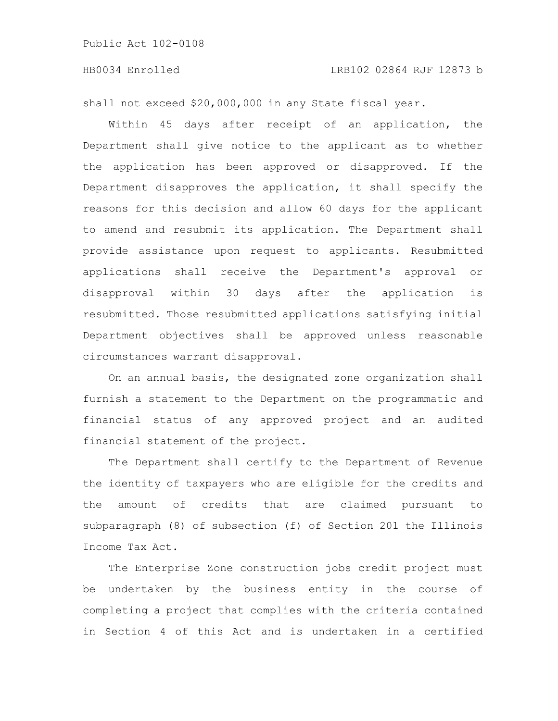shall not exceed \$20,000,000 in any State fiscal year.

Within 45 days after receipt of an application, the Department shall give notice to the applicant as to whether the application has been approved or disapproved. If the Department disapproves the application, it shall specify the reasons for this decision and allow 60 days for the applicant to amend and resubmit its application. The Department shall provide assistance upon request to applicants. Resubmitted applications shall receive the Department's approval or disapproval within 30 days after the application is resubmitted. Those resubmitted applications satisfying initial Department objectives shall be approved unless reasonable circumstances warrant disapproval.

On an annual basis, the designated zone organization shall furnish a statement to the Department on the programmatic and financial status of any approved project and an audited financial statement of the project.

The Department shall certify to the Department of Revenue the identity of taxpayers who are eligible for the credits and the amount of credits that are claimed pursuant to subparagraph (8) of subsection (f) of Section 201 the Illinois Income Tax Act.

The Enterprise Zone construction jobs credit project must be undertaken by the business entity in the course of completing a project that complies with the criteria contained in Section 4 of this Act and is undertaken in a certified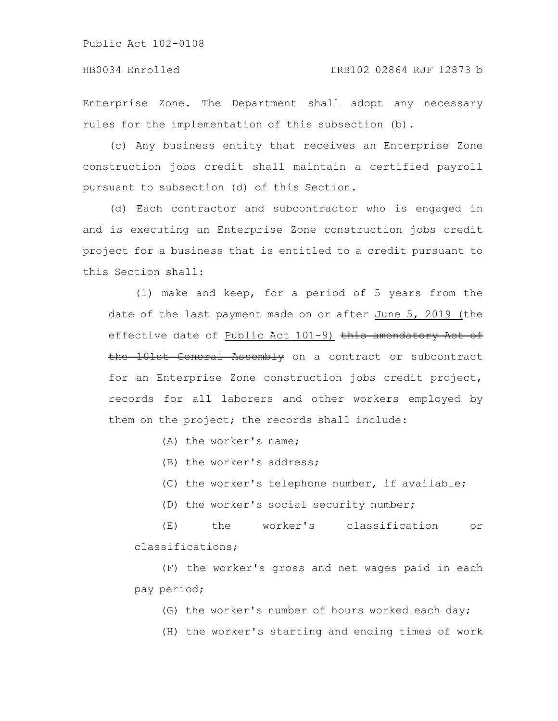Enterprise Zone. The Department shall adopt any necessary rules for the implementation of this subsection (b).

(c) Any business entity that receives an Enterprise Zone construction jobs credit shall maintain a certified payroll pursuant to subsection (d) of this Section.

(d) Each contractor and subcontractor who is engaged in and is executing an Enterprise Zone construction jobs credit project for a business that is entitled to a credit pursuant to this Section shall:

(1) make and keep, for a period of 5 years from the date of the last payment made on or after June 5, 2019 (the effective date of Public Act 101-9) this amendatory Act of the 101st General Assembly on a contract or subcontract for an Enterprise Zone construction jobs credit project, records for all laborers and other workers employed by them on the project; the records shall include:

(A) the worker's name;

(B) the worker's address;

(C) the worker's telephone number, if available;

(D) the worker's social security number;

(E) the worker's classification or classifications;

(F) the worker's gross and net wages paid in each pay period;

(G) the worker's number of hours worked each day;

(H) the worker's starting and ending times of work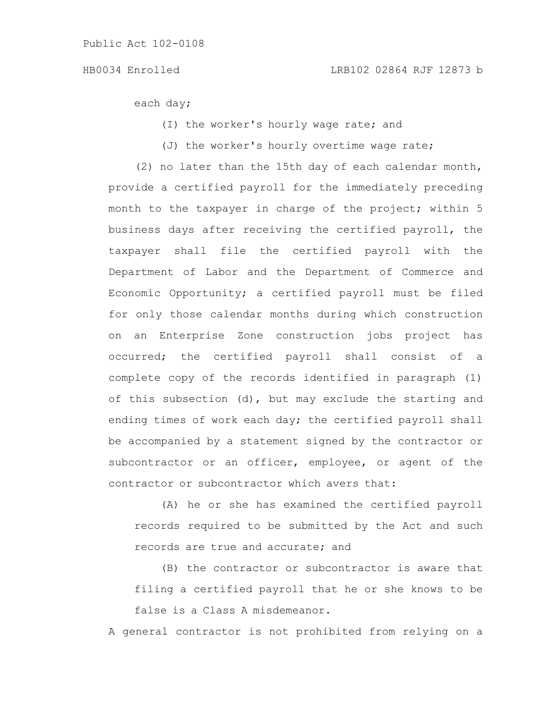each day;

- (I) the worker's hourly wage rate; and
- (J) the worker's hourly overtime wage rate;

(2) no later than the 15th day of each calendar month, provide a certified payroll for the immediately preceding month to the taxpayer in charge of the project; within 5 business days after receiving the certified payroll, the taxpayer shall file the certified payroll with the Department of Labor and the Department of Commerce and Economic Opportunity; a certified payroll must be filed for only those calendar months during which construction on an Enterprise Zone construction jobs project has occurred; the certified payroll shall consist of a complete copy of the records identified in paragraph (1) of this subsection (d), but may exclude the starting and ending times of work each day; the certified payroll shall be accompanied by a statement signed by the contractor or subcontractor or an officer, employee, or agent of the contractor or subcontractor which avers that:

(A) he or she has examined the certified payroll records required to be submitted by the Act and such records are true and accurate; and

(B) the contractor or subcontractor is aware that filing a certified payroll that he or she knows to be false is a Class A misdemeanor.

A general contractor is not prohibited from relying on a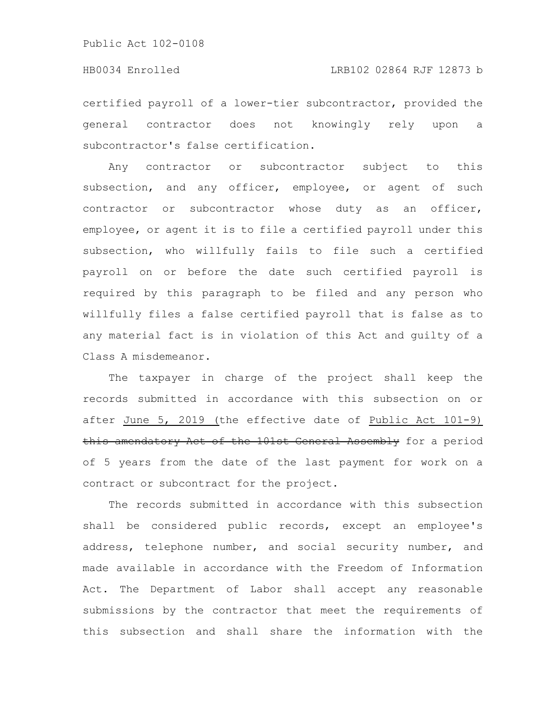certified payroll of a lower-tier subcontractor, provided the general contractor does not knowingly rely upon a subcontractor's false certification.

Any contractor or subcontractor subject to this subsection, and any officer, employee, or agent of such contractor or subcontractor whose duty as an officer, employee, or agent it is to file a certified payroll under this subsection, who willfully fails to file such a certified payroll on or before the date such certified payroll is required by this paragraph to be filed and any person who willfully files a false certified payroll that is false as to any material fact is in violation of this Act and guilty of a Class A misdemeanor.

The taxpayer in charge of the project shall keep the records submitted in accordance with this subsection on or after June 5, 2019 (the effective date of Public Act 101-9) this amendatory Act of the 101st General Assembly for a period of 5 years from the date of the last payment for work on a contract or subcontract for the project.

The records submitted in accordance with this subsection shall be considered public records, except an employee's address, telephone number, and social security number, and made available in accordance with the Freedom of Information Act. The Department of Labor shall accept any reasonable submissions by the contractor that meet the requirements of this subsection and shall share the information with the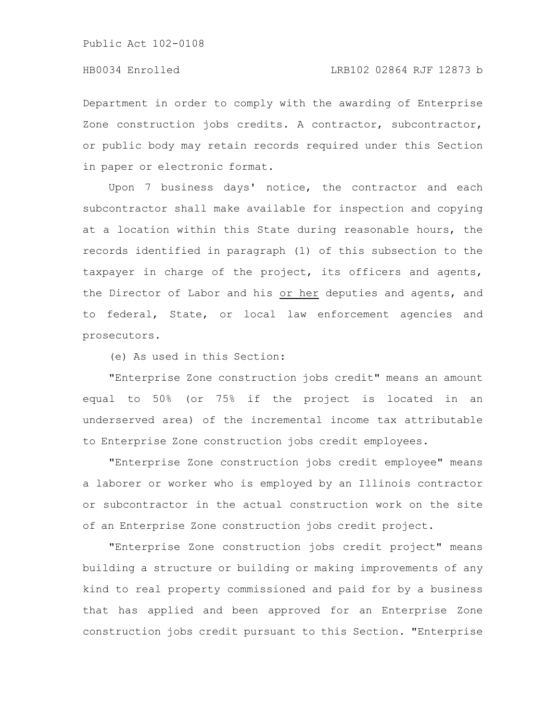Department in order to comply with the awarding of Enterprise Zone construction jobs credits. A contractor, subcontractor, or public body may retain records required under this Section in paper or electronic format.

Upon 7 business days' notice, the contractor and each subcontractor shall make available for inspection and copying at a location within this State during reasonable hours, the records identified in paragraph (1) of this subsection to the taxpayer in charge of the project, its officers and agents, the Director of Labor and his or her deputies and agents, and to federal, State, or local law enforcement agencies and prosecutors.

(e) As used in this Section:

"Enterprise Zone construction jobs credit" means an amount equal to 50% (or 75% if the project is located in an underserved area) of the incremental income tax attributable to Enterprise Zone construction jobs credit employees.

"Enterprise Zone construction jobs credit employee" means a laborer or worker who is employed by an Illinois contractor or subcontractor in the actual construction work on the site of an Enterprise Zone construction jobs credit project.

"Enterprise Zone construction jobs credit project" means building a structure or building or making improvements of any kind to real property commissioned and paid for by a business that has applied and been approved for an Enterprise Zone construction jobs credit pursuant to this Section. "Enterprise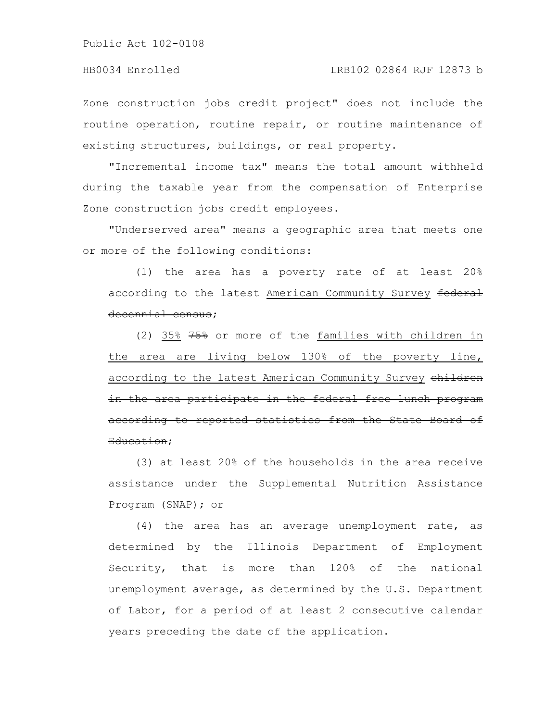Zone construction jobs credit project" does not include the routine operation, routine repair, or routine maintenance of existing structures, buildings, or real property.

"Incremental income tax" means the total amount withheld during the taxable year from the compensation of Enterprise Zone construction jobs credit employees.

"Underserved area" means a geographic area that meets one or more of the following conditions:

(1) the area has a poverty rate of at least 20% according to the latest American Community Survey federal decennial census;

(2) 35% 75% or more of the families with children in the area are living below 130% of the poverty line, according to the latest American Community Survey children in the area participate in the federal free lunch program according to reported statistics from the State Board of Education;

(3) at least 20% of the households in the area receive assistance under the Supplemental Nutrition Assistance Program (SNAP); or

(4) the area has an average unemployment rate, as determined by the Illinois Department of Employment Security, that is more than 120% of the national unemployment average, as determined by the U.S. Department of Labor, for a period of at least 2 consecutive calendar years preceding the date of the application.